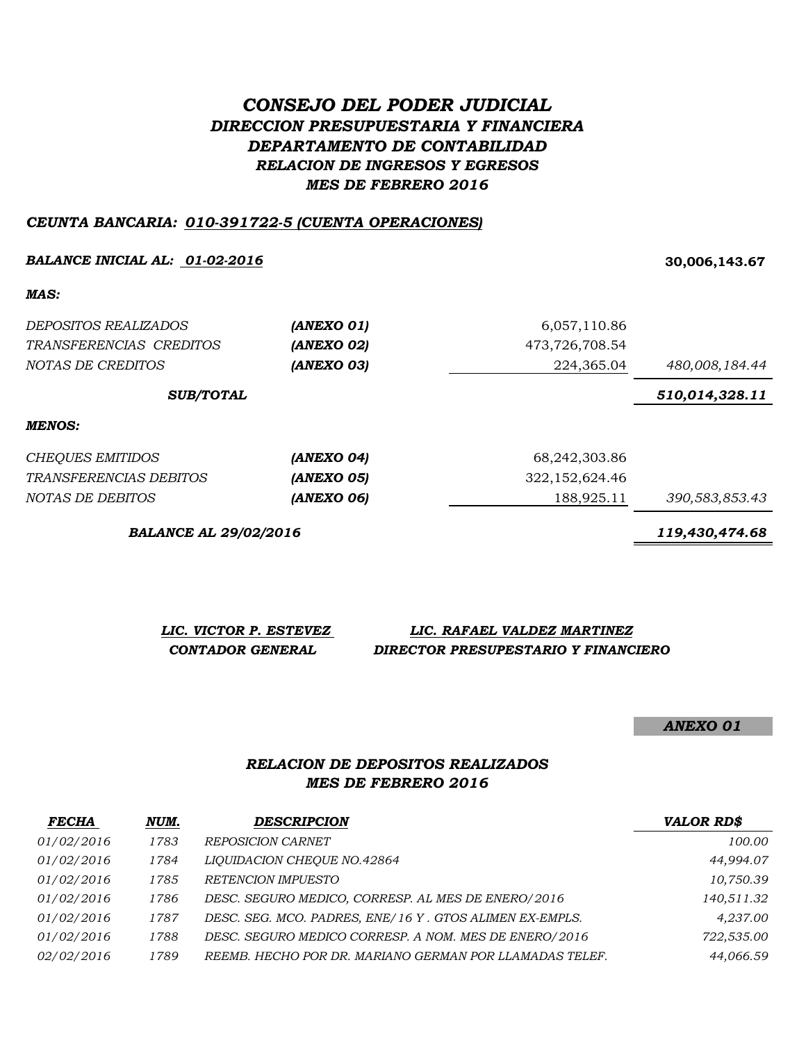# *CONSEJO DEL PODER JUDICIAL DIRECCION PRESUPUESTARIA Y FINANCIERA DEPARTAMENTO DE CONTABILIDAD RELACION DE INGRESOS Y EGRESOS MES DE FEBRERO 2016*

#### *CEUNTA BANCARIA: 010-391722-5 (CUENTA OPERACIONES)*

#### *BALANCE INICIAL AL: 01-02-2016* **30,006,143.67**

*MAS:*

| DEPOSITOS REALIZADOS    | (ANEXO 01) | 6,057,110.86   |                |
|-------------------------|------------|----------------|----------------|
| TRANSFERENCIAS CREDITOS | (ANEXO 02) | 473,726,708.54 |                |
| NOTAS DE CREDITOS       | (ANEXO 03) | 224,365.04     | 480,008,184.44 |
| <b>SUB/TOTAL</b>        |            |                | 510,014,328.11 |
| MENOS:                  |            |                |                |

| CHEOUES EMITIDOS       | (ANEXO 04)        | 68,242,303.86  |                |
|------------------------|-------------------|----------------|----------------|
| TRANSFERENCIAS DEBITOS | <i>(ANEXO 05)</i> | 322,152,624.46 |                |
| NOTAS DE DEBITOS       | (ANEXO 06)        | 188.925.11     | 390,583,853.43 |

*BALANCE AL 29/02/2016 119,430,474.68*

| LIC. VICTOR P. ESTEVEZ |  | LIC. RAFAEL VALDEZ MARTINEZ         |
|------------------------|--|-------------------------------------|
| CONTADOR GENERAL       |  | DIRECTOR PRESUPESTARIO Y FINANCIERO |

*ANEXO 01*

#### *MES DE FEBRERO 2016 RELACION DE DEPOSITOS REALIZADOS*

| <b>FECHA</b>      | NUM. | <b>DESCRIPCION</b>                                      | <b>VALOR RD\$</b> |
|-------------------|------|---------------------------------------------------------|-------------------|
| <i>01/02/2016</i> | 1783 | <b>REPOSICION CARNET</b>                                | 100.00            |
| <i>01/02/2016</i> | 1784 | LIQUIDACION CHEQUE NO.42864                             | 44,994.07         |
| 01/02/2016        | 1785 | RETENCION IMPUESTO                                      | 10,750.39         |
| 01/02/2016        | 1786 | DESC. SEGURO MEDICO, CORRESP. AL MES DE ENERO/2016      | 140,511.32        |
| <i>01/02/2016</i> | 1787 | DESC. SEG. MCO. PADRES, ENE/16 Y. GTOS ALIMEN EX-EMPLS. | 4.237.00          |
| 01/02/2016        | 1788 | DESC. SEGURO MEDICO CORRESP. A NOM. MES DE ENERO/2016   | 722,535.00        |
| 02/02/2016        | 1789 | REEMB. HECHO POR DR. MARIANO GERMAN POR LLAMADAS TELEF. | 44,066.59         |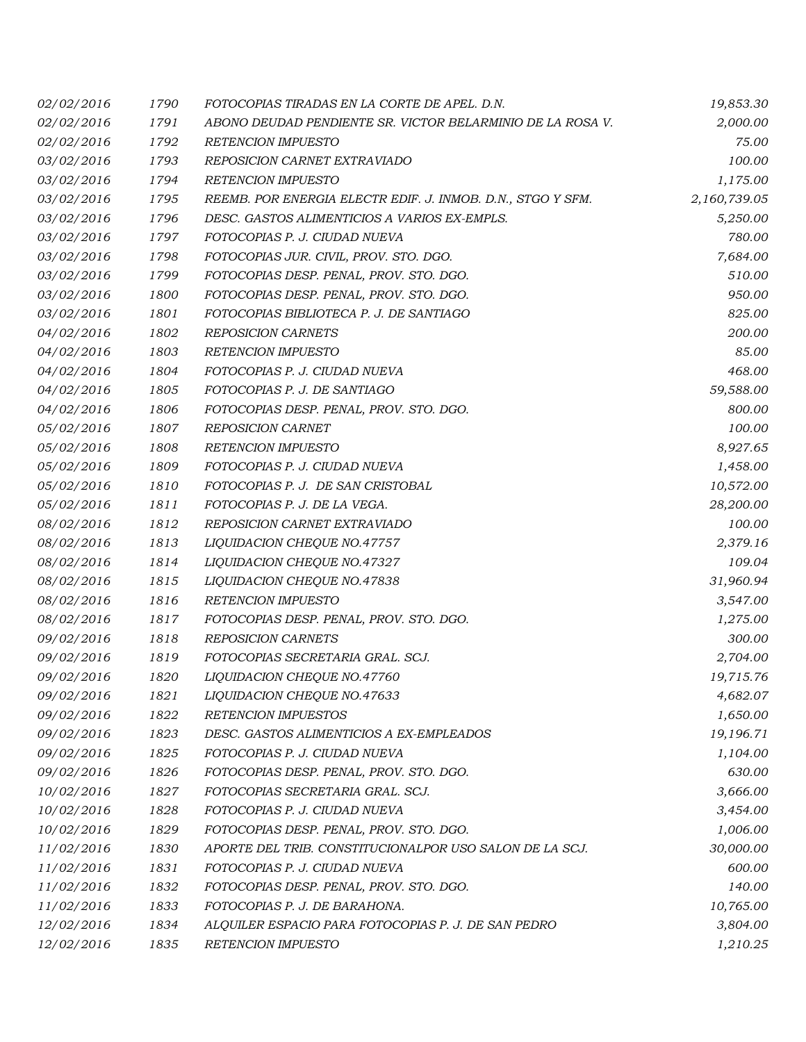| 02/02/2016 | 1790 | FOTOCOPIAS TIRADAS EN LA CORTE DE APEL. D.N.                | 19,853.30    |
|------------|------|-------------------------------------------------------------|--------------|
| 02/02/2016 | 1791 | ABONO DEUDAD PENDIENTE SR. VICTOR BELARMINIO DE LA ROSA V.  | 2,000.00     |
| 02/02/2016 | 1792 | <b>RETENCION IMPUESTO</b>                                   | 75.00        |
| 03/02/2016 | 1793 | REPOSICION CARNET EXTRAVIADO                                | 100.00       |
| 03/02/2016 | 1794 | <b>RETENCION IMPUESTO</b>                                   | 1,175.00     |
| 03/02/2016 | 1795 | REEMB. POR ENERGIA ELECTR EDIF. J. INMOB. D.N., STGO Y SFM. | 2,160,739.05 |
| 03/02/2016 | 1796 | DESC. GASTOS ALIMENTICIOS A VARIOS EX-EMPLS.                | 5,250.00     |
| 03/02/2016 | 1797 | FOTOCOPIAS P. J. CIUDAD NUEVA                               | 780.00       |
| 03/02/2016 | 1798 | FOTOCOPIAS JUR. CIVIL, PROV. STO. DGO.                      | 7,684.00     |
| 03/02/2016 | 1799 | FOTOCOPIAS DESP. PENAL, PROV. STO. DGO.                     | 510.00       |
| 03/02/2016 | 1800 | FOTOCOPIAS DESP. PENAL, PROV. STO. DGO.                     | 950.00       |
| 03/02/2016 | 1801 | FOTOCOPIAS BIBLIOTECA P. J. DE SANTIAGO                     | 825.00       |
| 04/02/2016 | 1802 | <b>REPOSICION CARNETS</b>                                   | 200.00       |
| 04/02/2016 | 1803 | RETENCION IMPUESTO                                          | 85.00        |
| 04/02/2016 | 1804 | FOTOCOPIAS P. J. CIUDAD NUEVA                               | 468.00       |
| 04/02/2016 | 1805 | FOTOCOPIAS P. J. DE SANTIAGO                                | 59,588.00    |
| 04/02/2016 | 1806 | FOTOCOPIAS DESP. PENAL, PROV. STO. DGO.                     | 800.00       |
| 05/02/2016 | 1807 | <b>REPOSICION CARNET</b>                                    | 100.00       |
| 05/02/2016 | 1808 | RETENCION IMPUESTO                                          | 8,927.65     |
| 05/02/2016 | 1809 | FOTOCOPIAS P. J. CIUDAD NUEVA                               | 1,458.00     |
| 05/02/2016 | 1810 | FOTOCOPIAS P. J. DE SAN CRISTOBAL                           | 10,572.00    |
| 05/02/2016 | 1811 | FOTOCOPIAS P. J. DE LA VEGA.                                | 28,200.00    |
| 08/02/2016 | 1812 | REPOSICION CARNET EXTRAVIADO                                | 100.00       |
| 08/02/2016 | 1813 | LIQUIDACION CHEQUE NO.47757                                 | 2,379.16     |
| 08/02/2016 | 1814 | LIQUIDACION CHEQUE NO.47327                                 | 109.04       |
| 08/02/2016 | 1815 | LIQUIDACION CHEQUE NO.47838                                 | 31,960.94    |
| 08/02/2016 | 1816 | RETENCION IMPUESTO                                          | 3,547.00     |
| 08/02/2016 | 1817 | FOTOCOPIAS DESP. PENAL, PROV. STO. DGO.                     | 1,275.00     |
| 09/02/2016 | 1818 | REPOSICION CARNETS                                          | 300.00       |
| 09/02/2016 | 1819 | FOTOCOPIAS SECRETARIA GRAL. SCJ.                            | 2,704.00     |
| 09/02/2016 | 1820 | LIQUIDACION CHEQUE NO.47760                                 | 19,715.76    |
| 09/02/2016 | 1821 | LIQUIDACION CHEQUE NO.47633                                 | 4,682.07     |
| 09/02/2016 | 1822 | RETENCION IMPUESTOS                                         | 1,650.00     |
| 09/02/2016 | 1823 | DESC. GASTOS ALIMENTICIOS A EX-EMPLEADOS                    | 19,196.71    |
| 09/02/2016 | 1825 | FOTOCOPIAS P. J. CIUDAD NUEVA                               | 1,104.00     |
| 09/02/2016 | 1826 | FOTOCOPIAS DESP. PENAL, PROV. STO. DGO.                     | 630.00       |
| 10/02/2016 | 1827 | FOTOCOPIAS SECRETARIA GRAL. SCJ.                            | 3,666.00     |
| 10/02/2016 | 1828 | FOTOCOPIAS P. J. CIUDAD NUEVA                               | 3,454.00     |
| 10/02/2016 | 1829 | FOTOCOPIAS DESP. PENAL, PROV. STO. DGO.                     | 1,006.00     |
| 11/02/2016 | 1830 | APORTE DEL TRIB. CONSTITUCIONALPOR USO SALON DE LA SCJ.     | 30,000.00    |
| 11/02/2016 | 1831 | FOTOCOPIAS P. J. CIUDAD NUEVA                               | 600.00       |
| 11/02/2016 | 1832 | FOTOCOPIAS DESP. PENAL, PROV. STO. DGO.                     | 140.00       |
| 11/02/2016 | 1833 | FOTOCOPIAS P. J. DE BARAHONA.                               | 10,765.00    |
| 12/02/2016 | 1834 | ALQUILER ESPACIO PARA FOTOCOPIAS P. J. DE SAN PEDRO         | 3,804.00     |
| 12/02/2016 | 1835 | RETENCION IMPUESTO                                          | 1,210.25     |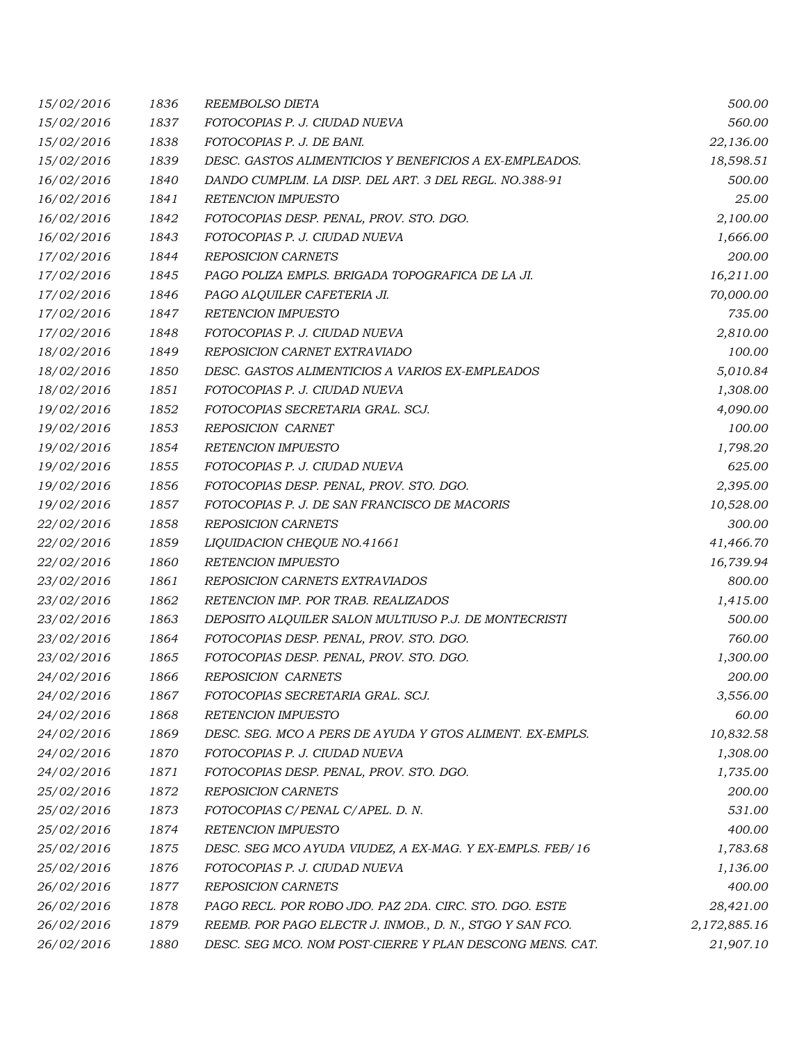| 15/02/2016 | 1836 | REEMBOLSO DIETA                                          | 500.00       |
|------------|------|----------------------------------------------------------|--------------|
| 15/02/2016 | 1837 | FOTOCOPIAS P. J. CIUDAD NUEVA                            | 560.00       |
| 15/02/2016 | 1838 | FOTOCOPIAS P. J. DE BANI.                                | 22,136.00    |
| 15/02/2016 | 1839 | DESC. GASTOS ALIMENTICIOS Y BENEFICIOS A EX-EMPLEADOS.   | 18,598.51    |
| 16/02/2016 | 1840 | DANDO CUMPLIM. LA DISP. DEL ART. 3 DEL REGL. NO.388-91   | 500.00       |
| 16/02/2016 | 1841 | <b>RETENCION IMPUESTO</b>                                | 25.00        |
| 16/02/2016 | 1842 | FOTOCOPIAS DESP. PENAL, PROV. STO. DGO.                  | 2,100.00     |
| 16/02/2016 | 1843 | FOTOCOPIAS P. J. CIUDAD NUEVA                            | 1,666.00     |
| 17/02/2016 | 1844 | <b>REPOSICION CARNETS</b>                                | 200.00       |
| 17/02/2016 | 1845 | PAGO POLIZA EMPLS. BRIGADA TOPOGRAFICA DE LA JI.         | 16,211.00    |
| 17/02/2016 | 1846 | PAGO ALQUILER CAFETERIA JI.                              | 70,000.00    |
| 17/02/2016 | 1847 | <b>RETENCION IMPUESTO</b>                                | 735.00       |
| 17/02/2016 | 1848 | FOTOCOPIAS P. J. CIUDAD NUEVA                            | 2,810.00     |
| 18/02/2016 | 1849 | REPOSICION CARNET EXTRAVIADO                             | 100.00       |
| 18/02/2016 | 1850 | DESC. GASTOS ALIMENTICIOS A VARIOS EX-EMPLEADOS          | 5,010.84     |
| 18/02/2016 | 1851 | FOTOCOPIAS P. J. CIUDAD NUEVA                            | 1,308.00     |
| 19/02/2016 | 1852 | FOTOCOPIAS SECRETARIA GRAL. SCJ.                         | 4,090.00     |
| 19/02/2016 | 1853 | REPOSICION CARNET                                        | 100.00       |
| 19/02/2016 | 1854 | <b>RETENCION IMPUESTO</b>                                | 1,798.20     |
| 19/02/2016 | 1855 | FOTOCOPIAS P. J. CIUDAD NUEVA                            | 625.00       |
| 19/02/2016 | 1856 | FOTOCOPIAS DESP. PENAL, PROV. STO. DGO.                  | 2,395.00     |
| 19/02/2016 | 1857 | FOTOCOPIAS P. J. DE SAN FRANCISCO DE MACORIS             | 10,528.00    |
| 22/02/2016 | 1858 | <b>REPOSICION CARNETS</b>                                | 300.00       |
| 22/02/2016 | 1859 | LIQUIDACION CHEQUE NO.41661                              | 41,466.70    |
| 22/02/2016 | 1860 | <b>RETENCION IMPUESTO</b>                                | 16,739.94    |
| 23/02/2016 | 1861 | REPOSICION CARNETS EXTRAVIADOS                           | 800.00       |
| 23/02/2016 | 1862 | RETENCION IMP. POR TRAB. REALIZADOS                      | 1,415.00     |
| 23/02/2016 | 1863 | DEPOSITO ALQUILER SALON MULTIUSO P.J. DE MONTECRISTI     | 500.00       |
| 23/02/2016 | 1864 | FOTOCOPIAS DESP. PENAL, PROV. STO. DGO.                  | 760.00       |
| 23/02/2016 | 1865 | FOTOCOPIAS DESP. PENAL, PROV. STO. DGO.                  | 1,300.00     |
| 24/02/2016 | 1866 | <b>REPOSICION CARNETS</b>                                | 200.00       |
| 24/02/2016 | 1867 | FOTOCOPIAS SECRETARIA GRAL. SCJ.                         | 3,556.00     |
| 24/02/2016 | 1868 | RETENCION IMPUESTO                                       | 60.00        |
| 24/02/2016 | 1869 | DESC. SEG. MCO A PERS DE AYUDA Y GTOS ALIMENT. EX-EMPLS. | 10,832.58    |
| 24/02/2016 | 1870 | FOTOCOPIAS P. J. CIUDAD NUEVA                            | 1,308.00     |
| 24/02/2016 | 1871 | FOTOCOPIAS DESP. PENAL, PROV. STO. DGO.                  | 1,735.00     |
| 25/02/2016 | 1872 | <b>REPOSICION CARNETS</b>                                | 200.00       |
| 25/02/2016 | 1873 | FOTOCOPIAS C/PENAL C/APEL. D. N.                         | 531.00       |
| 25/02/2016 | 1874 | <b>RETENCION IMPUESTO</b>                                | 400.00       |
| 25/02/2016 | 1875 | DESC. SEG MCO AYUDA VIUDEZ, A EX-MAG. Y EX-EMPLS. FEB/16 | 1,783.68     |
| 25/02/2016 | 1876 | FOTOCOPIAS P. J. CIUDAD NUEVA                            | 1,136.00     |
| 26/02/2016 | 1877 | <b>REPOSICION CARNETS</b>                                | 400.00       |
| 26/02/2016 | 1878 | PAGO RECL. POR ROBO JDO. PAZ 2DA. CIRC. STO. DGO. ESTE   | 28,421.00    |
| 26/02/2016 | 1879 | REEMB. POR PAGO ELECTR J. INMOB., D. N., STGO Y SAN FCO. | 2,172,885.16 |
| 26/02/2016 | 1880 | DESC. SEG MCO. NOM POST-CIERRE Y PLAN DESCONG MENS. CAT. | 21,907.10    |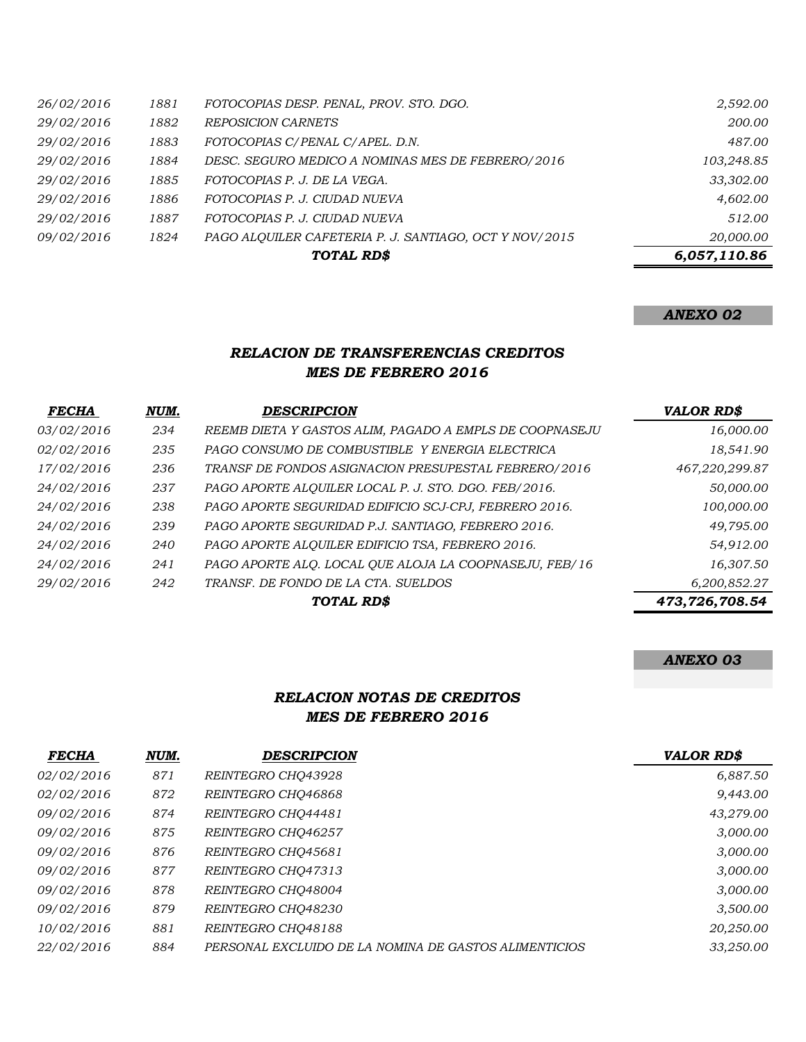|            |      | TOTAL RD\$                                             | 6,057,110.86 |
|------------|------|--------------------------------------------------------|--------------|
| 09/02/2016 | 1824 | PAGO ALOUILER CAFETERIA P. J. SANTIAGO, OCT Y NOV/2015 | 20,000.00    |
| 29/02/2016 | 1887 | FOTOCOPIAS P. J. CIUDAD NUEVA                          | 512.00       |
| 29/02/2016 | 1886 | FOTOCOPIAS P. J. CIUDAD NUEVA                          | 4,602.00     |
| 29/02/2016 | 1885 | FOTOCOPIAS P. J. DE LA VEGA.                           | 33,302.00    |
| 29/02/2016 | 1884 | DESC. SEGURO MEDICO A NOMINAS MES DE FEBRERO/2016      | 103,248.85   |
| 29/02/2016 | 1883 | FOTOCOPIAS C/PENAL C/APEL. D.N.                        | 487.00       |
| 29/02/2016 | 1882 | <b>REPOSICION CARNETS</b>                              | 200.00       |
| 26/02/2016 | 1881 | FOTOCOPIAS DESP. PENAL, PROV. STO. DGO.                | 2,592.00     |

## *ANEXO 02*

#### *RELACION DE TRANSFERENCIAS CREDITOS MES DE FEBRERO 2016*

| <b>FECHA</b> | NUM. | <b>DESCRIPCION</b>                                      | <b>VALOR RD\$</b> |
|--------------|------|---------------------------------------------------------|-------------------|
| 03/02/2016   | 234  | REEMB DIETA Y GASTOS ALIM, PAGADO A EMPLS DE COOPNASEJU | 16,000.00         |
| 02/02/2016   | 235  | PAGO CONSUMO DE COMBUSTIBLE Y ENERGIA ELECTRICA         | 18,541.90         |
| 17/02/2016   | 236  | TRANSF DE FONDOS ASIGNACION PRESUPESTAL FEBRERO/2016    | 467,220,299.87    |
| 24/02/2016   | 237  | PAGO APORTE ALQUILER LOCAL P. J. STO. DGO. FEB/2016.    | 50,000.00         |
| 24/02/2016   | 238  | PAGO APORTE SEGURIDAD EDIFICIO SCJ-CPJ, FEBRERO 2016.   | 100,000.00        |
| 24/02/2016   | 239  | PAGO APORTE SEGURIDAD P.J. SANTIAGO, FEBRERO 2016.      | 49,795.00         |
| 24/02/2016   | 240  | PAGO APORTE ALQUILER EDIFICIO TSA, FEBRERO 2016.        | 54,912.00         |
| 24/02/2016   | 241  | PAGO APORTE ALQ. LOCAL QUE ALOJA LA COOPNASEJU, FEB/16  | 16,307.50         |
| 29/02/2016   | 242  | TRANSF. DE FONDO DE LA CTA. SUELDOS                     | 6,200,852.27      |
|              |      | TOTAL RD\$                                              | 473,726,708.54    |

## *ANEXO 03*

### *RELACION NOTAS DE CREDITOS MES DE FEBRERO 2016*

| <b>FECHA</b> | NUM. | <b>DESCRIPCION</b>                                    | <b>VALOR RD\$</b> |
|--------------|------|-------------------------------------------------------|-------------------|
| 02/02/2016   | 871  | REINTEGRO CHO43928                                    | 6,887.50          |
| 02/02/2016   | 872  | REINTEGRO CHO46868                                    | 9,443.00          |
| 09/02/2016   | 874  | REINTEGRO CHO44481                                    | 43,279.00         |
| 09/02/2016   | 875  | REINTEGRO CHO46257                                    | 3,000.00          |
| 09/02/2016   | 876  | REINTEGRO CHO45681                                    | 3,000.00          |
| 09/02/2016   | 877  | REINTEGRO CHQ47313                                    | 3,000.00          |
| 09/02/2016   | 878  | REINTEGRO CHO48004                                    | 3,000.00          |
| 09/02/2016   | 879  | REINTEGRO CHO48230                                    | 3,500.00          |
| 10/02/2016   | 881  | REINTEGRO CHO48188                                    | 20,250.00         |
| 22/02/2016   | 884  | PERSONAL EXCLUIDO DE LA NOMINA DE GASTOS ALIMENTICIOS | 33,250.00         |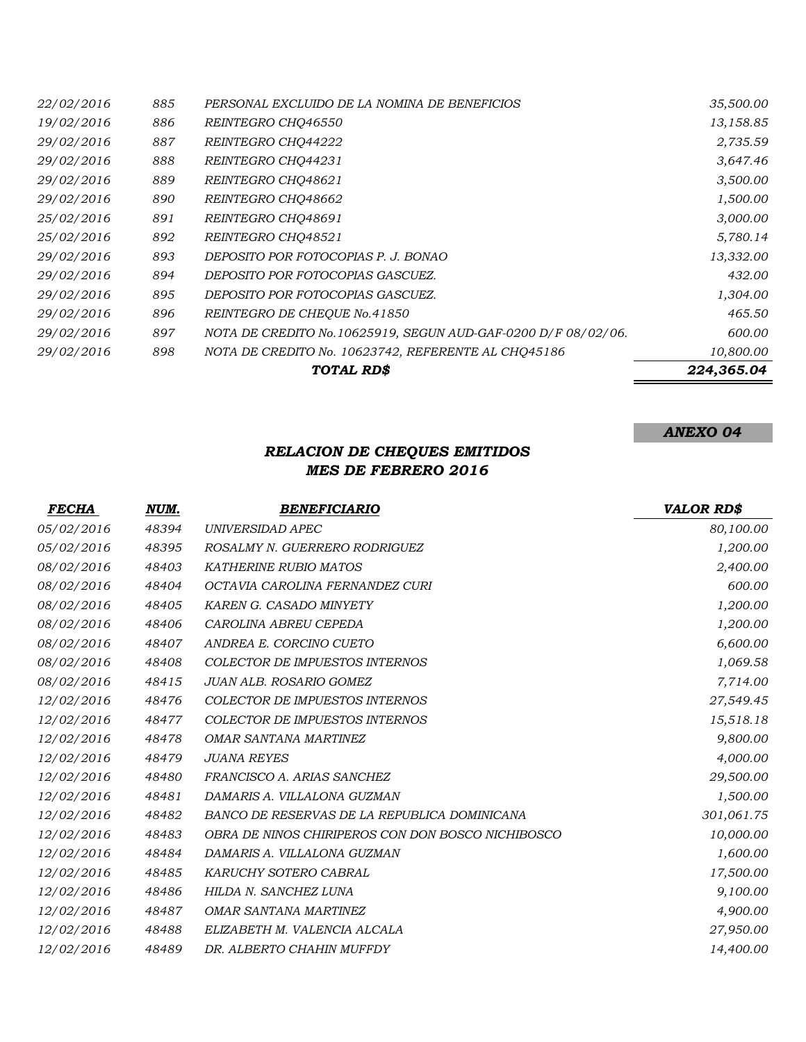|            |     | TOTAL RD\$                                                     | 224,365.04 |
|------------|-----|----------------------------------------------------------------|------------|
| 29/02/2016 | 898 | NOTA DE CREDITO No. 10623742, REFERENTE AL CHQ45186            | 10,800.00  |
| 29/02/2016 | 897 | NOTA DE CREDITO No. 10625919, SEGUN AUD-GAF-0200 D/F 08/02/06. | 600.00     |
| 29/02/2016 | 896 | REINTEGRO DE CHEOUE No.41850                                   | 465.50     |
| 29/02/2016 | 895 | DEPOSITO POR FOTOCOPIAS GASCUEZ.                               | 1,304.00   |
| 29/02/2016 | 894 | DEPOSITO POR FOTOCOPIAS GASCUEZ.                               | 432.00     |
| 29/02/2016 | 893 | DEPOSITO POR FOTOCOPIAS P. J. BONAO                            | 13,332.00  |
| 25/02/2016 | 892 | REINTEGRO CHO48521                                             | 5,780.14   |
| 25/02/2016 | 891 | REINTEGRO CHO48691                                             | 3,000.00   |
| 29/02/2016 | 890 | REINTEGRO CHO48662                                             | 1,500.00   |
| 29/02/2016 | 889 | REINTEGRO CHQ48621                                             | 3,500.00   |
| 29/02/2016 | 888 | REINTEGRO CHO44231                                             | 3,647.46   |
| 29/02/2016 | 887 | REINTEGRO CHQ44222                                             | 2,735.59   |
| 19/02/2016 | 886 | REINTEGRO CHO46550                                             | 13,158.85  |
| 22/02/2016 | 885 | PERSONAL EXCLUIDO DE LA NOMINA DE BENEFICIOS                   | 35,500.00  |

## *RELACION DE CHEQUES EMITIDOS MES DE FEBRERO 2016*

| <i>FECHA</i> | NUM.  | <b>BENEFICIARIO</b>                               | <b>VALOR RD\$</b> |
|--------------|-------|---------------------------------------------------|-------------------|
| 05/02/2016   | 48394 | UNIVERSIDAD APEC                                  | 80,100.00         |
| 05/02/2016   | 48395 | ROSALMY N. GUERRERO RODRIGUEZ                     | 1,200.00          |
| 08/02/2016   | 48403 | KATHERINE RUBIO MATOS                             | 2,400.00          |
| 08/02/2016   | 48404 | OCTAVIA CAROLINA FERNANDEZ CURI                   | 600.00            |
| 08/02/2016   | 48405 | KAREN G. CASADO MINYETY                           | 1,200.00          |
| 08/02/2016   | 48406 | CAROLINA ABREU CEPEDA                             | 1,200.00          |
| 08/02/2016   | 48407 | ANDREA E. CORCINO CUETO                           | 6,600.00          |
| 08/02/2016   | 48408 | COLECTOR DE IMPUESTOS INTERNOS                    | 1,069.58          |
| 08/02/2016   | 48415 | <b>JUAN ALB. ROSARIO GOMEZ</b>                    | 7,714.00          |
| 12/02/2016   | 48476 | <b>COLECTOR DE IMPUESTOS INTERNOS</b>             | 27,549.45         |
| 12/02/2016   | 48477 | <b>COLECTOR DE IMPUESTOS INTERNOS</b>             | 15,518.18         |
| 12/02/2016   | 48478 | OMAR SANTANA MARTINEZ                             | 9,800.00          |
| 12/02/2016   | 48479 | <b>JUANA REYES</b>                                | 4,000.00          |
| 12/02/2016   | 48480 | FRANCISCO A. ARIAS SANCHEZ                        | 29,500.00         |
| 12/02/2016   | 48481 | DAMARIS A. VILLALONA GUZMAN                       | 1,500.00          |
| 12/02/2016   | 48482 | BANCO DE RESERVAS DE LA REPUBLICA DOMINICANA      | 301,061.75        |
| 12/02/2016   | 48483 | OBRA DE NINOS CHIRIPEROS CON DON BOSCO NICHIBOSCO | 10,000.00         |
| 12/02/2016   | 48484 | DAMARIS A. VILLALONA GUZMAN                       | 1,600.00          |
| 12/02/2016   | 48485 | KARUCHY SOTERO CABRAL                             | 17,500.00         |
| 12/02/2016   | 48486 | HILDA N. SANCHEZ LUNA                             | 9,100.00          |
| 12/02/2016   | 48487 | OMAR SANTANA MARTINEZ                             | 4,900.00          |
| 12/02/2016   | 48488 | ELIZABETH M. VALENCIA ALCALA                      | 27,950.00         |
| 12/02/2016   | 48489 | DR. ALBERTO CHAHIN MUFFDY                         | 14,400.00         |

# *ANEXO 04*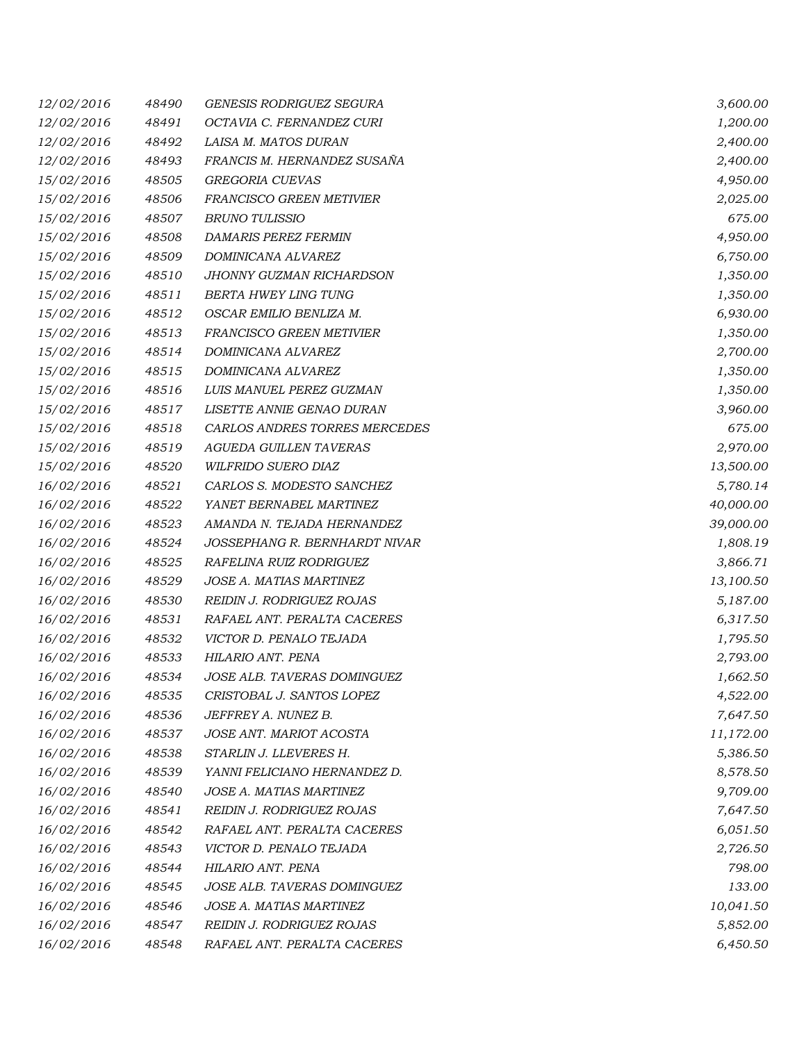| 12/02/2016 | 48490 | <b>GENESIS RODRIGUEZ SEGURA</b> | 3,600.00  |
|------------|-------|---------------------------------|-----------|
| 12/02/2016 | 48491 | OCTAVIA C. FERNANDEZ CURI       | 1,200.00  |
| 12/02/2016 | 48492 | LAISA M. MATOS DURAN            | 2,400.00  |
| 12/02/2016 | 48493 | FRANCIS M. HERNANDEZ SUSAÑA     | 2,400.00  |
| 15/02/2016 | 48505 | GREGORIA CUEVAS                 | 4,950.00  |
| 15/02/2016 | 48506 | FRANCISCO GREEN METIVIER        | 2,025.00  |
| 15/02/2016 | 48507 | <b>BRUNO TULISSIO</b>           | 675.00    |
| 15/02/2016 | 48508 | <b>DAMARIS PEREZ FERMIN</b>     | 4,950.00  |
| 15/02/2016 | 48509 | DOMINICANA ALVAREZ              | 6,750.00  |
| 15/02/2016 | 48510 | JHONNY GUZMAN RICHARDSON        | 1,350.00  |
| 15/02/2016 | 48511 | BERTA HWEY LING TUNG            | 1,350.00  |
| 15/02/2016 | 48512 | OSCAR EMILIO BENLIZA M.         | 6,930.00  |
| 15/02/2016 | 48513 | FRANCISCO GREEN METIVIER        | 1,350.00  |
| 15/02/2016 | 48514 | DOMINICANA ALVAREZ              | 2,700.00  |
| 15/02/2016 | 48515 | DOMINICANA ALVAREZ              | 1,350.00  |
| 15/02/2016 | 48516 | LUIS MANUEL PEREZ GUZMAN        | 1,350.00  |
| 15/02/2016 | 48517 | LISETTE ANNIE GENAO DURAN       | 3,960.00  |
| 15/02/2016 | 48518 | CARLOS ANDRES TORRES MERCEDES   | 675.00    |
| 15/02/2016 | 48519 | AGUEDA GUILLEN TAVERAS          | 2,970.00  |
| 15/02/2016 | 48520 | WILFRIDO SUERO DIAZ             | 13,500.00 |
| 16/02/2016 | 48521 | CARLOS S. MODESTO SANCHEZ       | 5,780.14  |
| 16/02/2016 | 48522 | YANET BERNABEL MARTINEZ         | 40,000.00 |
| 16/02/2016 | 48523 | AMANDA N. TEJADA HERNANDEZ      | 39,000.00 |
| 16/02/2016 | 48524 | JOSSEPHANG R. BERNHARDT NIVAR   | 1,808.19  |
| 16/02/2016 | 48525 | RAFELINA RUIZ RODRIGUEZ         | 3,866.71  |
| 16/02/2016 | 48529 | JOSE A. MATIAS MARTINEZ         | 13,100.50 |
| 16/02/2016 | 48530 | REIDIN J. RODRIGUEZ ROJAS       | 5,187.00  |
| 16/02/2016 | 48531 | RAFAEL ANT. PERALTA CACERES     | 6,317.50  |
| 16/02/2016 | 48532 | VICTOR D. PENALO TEJADA         | 1,795.50  |
| 16/02/2016 | 48533 | HILARIO ANT. PENA               | 2,793.00  |
| 16/02/2016 | 48534 | JOSE ALB. TAVERAS DOMINGUEZ     | 1,662.50  |
| 16/02/2016 | 48535 | CRISTOBAL J. SANTOS LOPEZ       | 4,522.00  |
| 16/02/2016 | 48536 | JEFFREY A. NUNEZ B.             | 7,647.50  |
| 16/02/2016 | 48537 | <b>JOSE ANT. MARIOT ACOSTA</b>  | 11,172.00 |
| 16/02/2016 | 48538 | STARLIN J. LLEVERES H.          | 5,386.50  |
| 16/02/2016 | 48539 | YANNI FELICIANO HERNANDEZ D.    | 8,578.50  |
| 16/02/2016 | 48540 | <b>JOSE A. MATIAS MARTINEZ</b>  | 9,709.00  |
| 16/02/2016 | 48541 | REIDIN J. RODRIGUEZ ROJAS       | 7,647.50  |
| 16/02/2016 | 48542 | RAFAEL ANT. PERALTA CACERES     | 6,051.50  |
| 16/02/2016 | 48543 | VICTOR D. PENALO TEJADA         | 2,726.50  |
| 16/02/2016 | 48544 | HILARIO ANT. PENA               | 798.00    |
| 16/02/2016 | 48545 | JOSE ALB. TAVERAS DOMINGUEZ     | 133.00    |
| 16/02/2016 | 48546 | JOSE A. MATIAS MARTINEZ         | 10,041.50 |
| 16/02/2016 | 48547 | REIDIN J. RODRIGUEZ ROJAS       | 5,852.00  |
| 16/02/2016 | 48548 | RAFAEL ANT. PERALTA CACERES     | 6,450.50  |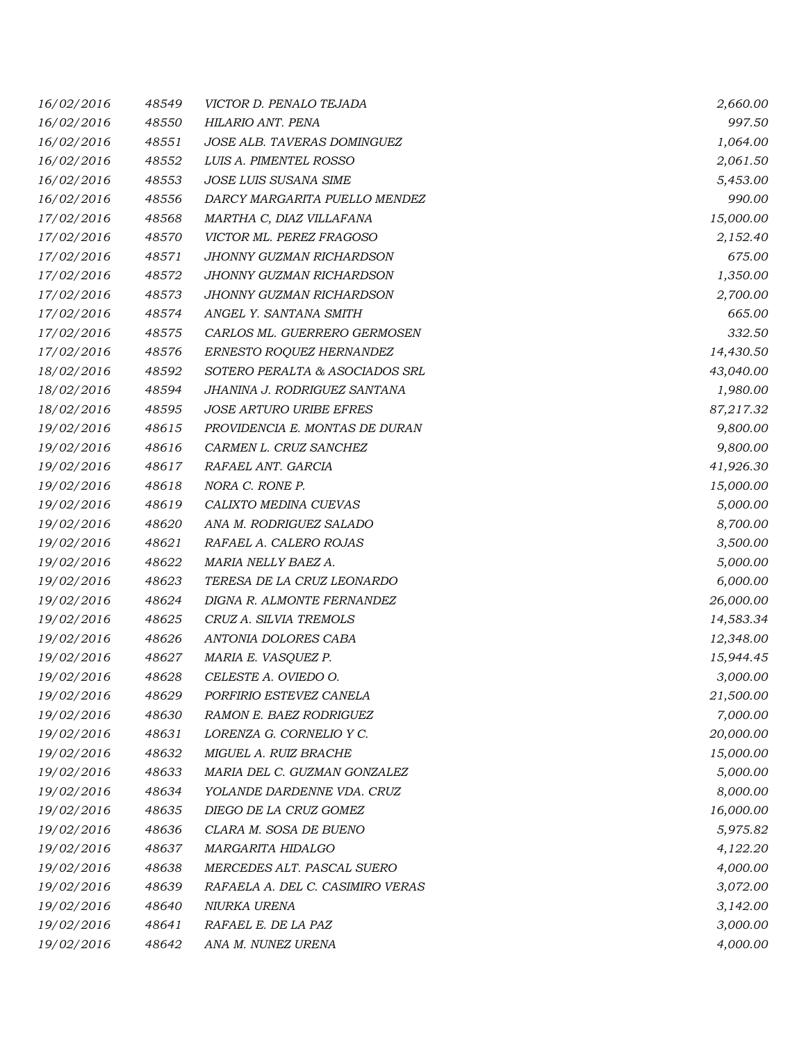| 16/02/2016 | 48549 | VICTOR D. PENALO TEJADA          | 2,660.00  |
|------------|-------|----------------------------------|-----------|
| 16/02/2016 | 48550 | HILARIO ANT. PENA                | 997.50    |
| 16/02/2016 | 48551 | JOSE ALB. TAVERAS DOMINGUEZ      | 1,064.00  |
| 16/02/2016 | 48552 | LUIS A. PIMENTEL ROSSO           | 2,061.50  |
| 16/02/2016 | 48553 | JOSE LUIS SUSANA SIME            | 5,453.00  |
| 16/02/2016 | 48556 | DARCY MARGARITA PUELLO MENDEZ    | 990.00    |
| 17/02/2016 | 48568 | MARTHA C, DIAZ VILLAFANA         | 15,000.00 |
| 17/02/2016 | 48570 | VICTOR ML. PEREZ FRAGOSO         | 2,152.40  |
| 17/02/2016 | 48571 | JHONNY GUZMAN RICHARDSON         | 675.00    |
| 17/02/2016 | 48572 | JHONNY GUZMAN RICHARDSON         | 1,350.00  |
| 17/02/2016 | 48573 | JHONNY GUZMAN RICHARDSON         | 2,700.00  |
| 17/02/2016 | 48574 | ANGEL Y. SANTANA SMITH           | 665.00    |
| 17/02/2016 | 48575 | CARLOS ML. GUERRERO GERMOSEN     | 332.50    |
| 17/02/2016 | 48576 | ERNESTO ROQUEZ HERNANDEZ         | 14,430.50 |
| 18/02/2016 | 48592 | SOTERO PERALTA & ASOCIADOS SRL   | 43,040.00 |
| 18/02/2016 | 48594 | JHANINA J. RODRIGUEZ SANTANA     | 1,980.00  |
| 18/02/2016 | 48595 | <b>JOSE ARTURO URIBE EFRES</b>   | 87,217.32 |
| 19/02/2016 | 48615 | PROVIDENCIA E. MONTAS DE DURAN   | 9,800.00  |
| 19/02/2016 | 48616 | CARMEN L. CRUZ SANCHEZ           | 9,800.00  |
| 19/02/2016 | 48617 | RAFAEL ANT. GARCIA               | 41,926.30 |
| 19/02/2016 | 48618 | NORA C. RONE P.                  | 15,000.00 |
| 19/02/2016 | 48619 | CALIXTO MEDINA CUEVAS            | 5,000.00  |
| 19/02/2016 | 48620 | ANA M. RODRIGUEZ SALADO          | 8,700.00  |
| 19/02/2016 | 48621 | RAFAEL A. CALERO ROJAS           | 3,500.00  |
| 19/02/2016 | 48622 | MARIA NELLY BAEZ A.              | 5,000.00  |
| 19/02/2016 | 48623 | TERESA DE LA CRUZ LEONARDO       | 6,000.00  |
| 19/02/2016 | 48624 | DIGNA R. ALMONTE FERNANDEZ       | 26,000.00 |
| 19/02/2016 | 48625 | CRUZ A. SILVIA TREMOLS           | 14,583.34 |
| 19/02/2016 | 48626 | ANTONIA DOLORES CABA             | 12,348.00 |
| 19/02/2016 | 48627 | MARIA E. VASQUEZ P.              | 15,944.45 |
| 19/02/2016 | 48628 | CELESTE A. OVIEDO O.             | 3,000.00  |
| 19/02/2016 | 48629 | PORFIRIO ESTEVEZ CANELA          | 21,500.00 |
| 19/02/2016 | 48630 | RAMON E. BAEZ RODRIGUEZ          | 7,000.00  |
| 19/02/2016 | 48631 | LORENZA G. CORNELIO Y C.         | 20,000.00 |
| 19/02/2016 | 48632 | MIGUEL A. RUIZ BRACHE            | 15,000.00 |
| 19/02/2016 | 48633 | MARIA DEL C. GUZMAN GONZALEZ     | 5,000.00  |
| 19/02/2016 | 48634 | YOLANDE DARDENNE VDA. CRUZ       | 8,000.00  |
| 19/02/2016 | 48635 | DIEGO DE LA CRUZ GOMEZ           | 16,000.00 |
| 19/02/2016 | 48636 | CLARA M. SOSA DE BUENO           | 5,975.82  |
| 19/02/2016 | 48637 | MARGARITA HIDALGO                | 4,122.20  |
| 19/02/2016 | 48638 | MERCEDES ALT. PASCAL SUERO       | 4,000.00  |
| 19/02/2016 | 48639 | RAFAELA A. DEL C. CASIMIRO VERAS | 3,072.00  |
| 19/02/2016 | 48640 | NIURKA URENA                     | 3,142.00  |
| 19/02/2016 | 48641 | RAFAEL E. DE LA PAZ              | 3,000.00  |
| 19/02/2016 | 48642 | ANA M. NUNEZ URENA               | 4,000.00  |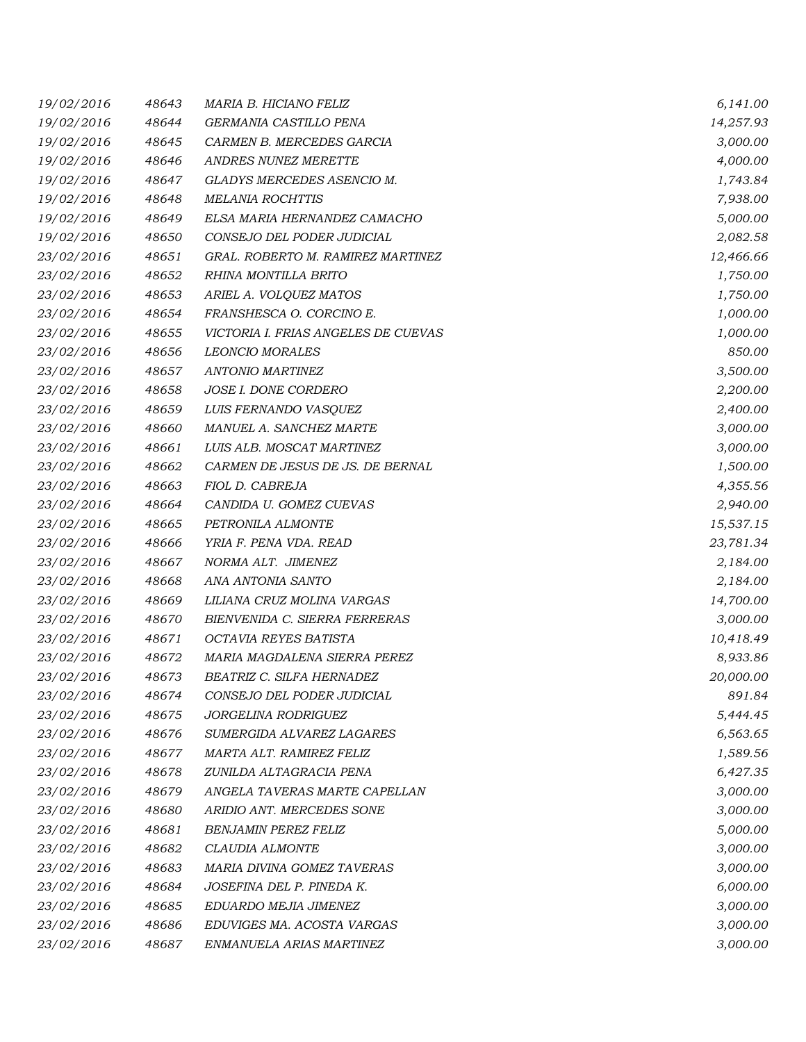| 19/02/2016 | 48643 | MARIA B. HICIANO FELIZ              | 6,141.00  |
|------------|-------|-------------------------------------|-----------|
| 19/02/2016 | 48644 | GERMANIA CASTILLO PENA              | 14,257.93 |
| 19/02/2016 | 48645 | CARMEN B. MERCEDES GARCIA           | 3,000.00  |
| 19/02/2016 | 48646 | ANDRES NUNEZ MERETTE                | 4,000.00  |
| 19/02/2016 | 48647 | GLADYS MERCEDES ASENCIO M.          | 1,743.84  |
| 19/02/2016 | 48648 | <b>MELANIA ROCHTTIS</b>             | 7,938.00  |
| 19/02/2016 | 48649 | ELSA MARIA HERNANDEZ CAMACHO        | 5,000.00  |
| 19/02/2016 | 48650 | CONSEJO DEL PODER JUDICIAL          | 2,082.58  |
| 23/02/2016 | 48651 | GRAL. ROBERTO M. RAMIREZ MARTINEZ   | 12,466.66 |
| 23/02/2016 | 48652 | RHINA MONTILLA BRITO                | 1,750.00  |
| 23/02/2016 | 48653 | ARIEL A. VOLQUEZ MATOS              | 1,750.00  |
| 23/02/2016 | 48654 | FRANSHESCA O. CORCINO E.            | 1,000.00  |
| 23/02/2016 | 48655 | VICTORIA I. FRIAS ANGELES DE CUEVAS | 1,000.00  |
| 23/02/2016 | 48656 | <b>LEONCIO MORALES</b>              | 850.00    |
| 23/02/2016 | 48657 | <b>ANTONIO MARTINEZ</b>             | 3,500.00  |
| 23/02/2016 | 48658 | JOSE I. DONE CORDERO                | 2,200.00  |
| 23/02/2016 | 48659 | LUIS FERNANDO VASQUEZ               | 2,400.00  |
| 23/02/2016 | 48660 | MANUEL A. SANCHEZ MARTE             | 3,000.00  |
| 23/02/2016 | 48661 | LUIS ALB. MOSCAT MARTINEZ           | 3,000.00  |
| 23/02/2016 | 48662 | CARMEN DE JESUS DE JS. DE BERNAL    | 1,500.00  |
| 23/02/2016 | 48663 | FIOL D. CABREJA                     | 4,355.56  |
| 23/02/2016 | 48664 | CANDIDA U. GOMEZ CUEVAS             | 2,940.00  |
| 23/02/2016 | 48665 | PETRONILA ALMONTE                   | 15,537.15 |
| 23/02/2016 | 48666 | YRIA F. PENA VDA. READ              | 23,781.34 |
| 23/02/2016 | 48667 | NORMA ALT. JIMENEZ                  | 2,184.00  |
| 23/02/2016 | 48668 | ANA ANTONIA SANTO                   | 2,184.00  |
| 23/02/2016 | 48669 | LILIANA CRUZ MOLINA VARGAS          | 14,700.00 |
| 23/02/2016 | 48670 | BIENVENIDA C. SIERRA FERRERAS       | 3,000.00  |
| 23/02/2016 | 48671 | OCTAVIA REYES BATISTA               | 10,418.49 |
| 23/02/2016 | 48672 | MARIA MAGDALENA SIERRA PEREZ        | 8,933.86  |
| 23/02/2016 | 48673 | BEATRIZ C. SILFA HERNADEZ           | 20,000.00 |
| 23/02/2016 | 48674 | CONSEJO DEL PODER JUDICIAL          | 891.84    |
| 23/02/2016 | 48675 | JORGELINA RODRIGUEZ                 | 5,444.45  |
| 23/02/2016 | 48676 | SUMERGIDA ALVAREZ LAGARES           | 6,563.65  |
| 23/02/2016 | 48677 | MARTA ALT. RAMIREZ FELIZ            | 1,589.56  |
| 23/02/2016 | 48678 | ZUNILDA ALTAGRACIA PENA             | 6,427.35  |
| 23/02/2016 | 48679 | ANGELA TAVERAS MARTE CAPELLAN       | 3,000.00  |
| 23/02/2016 | 48680 | ARIDIO ANT. MERCEDES SONE           | 3,000.00  |
| 23/02/2016 | 48681 | <b>BENJAMIN PEREZ FELIZ</b>         | 5,000.00  |
| 23/02/2016 | 48682 | CLAUDIA ALMONTE                     | 3,000.00  |
| 23/02/2016 | 48683 | MARIA DIVINA GOMEZ TAVERAS          | 3,000.00  |
| 23/02/2016 | 48684 | JOSEFINA DEL P. PINEDA K.           | 6,000.00  |
| 23/02/2016 | 48685 | EDUARDO MEJIA JIMENEZ               | 3,000.00  |
| 23/02/2016 | 48686 | EDUVIGES MA. ACOSTA VARGAS          | 3,000.00  |
| 23/02/2016 | 48687 | ENMANUELA ARIAS MARTINEZ            | 3,000.00  |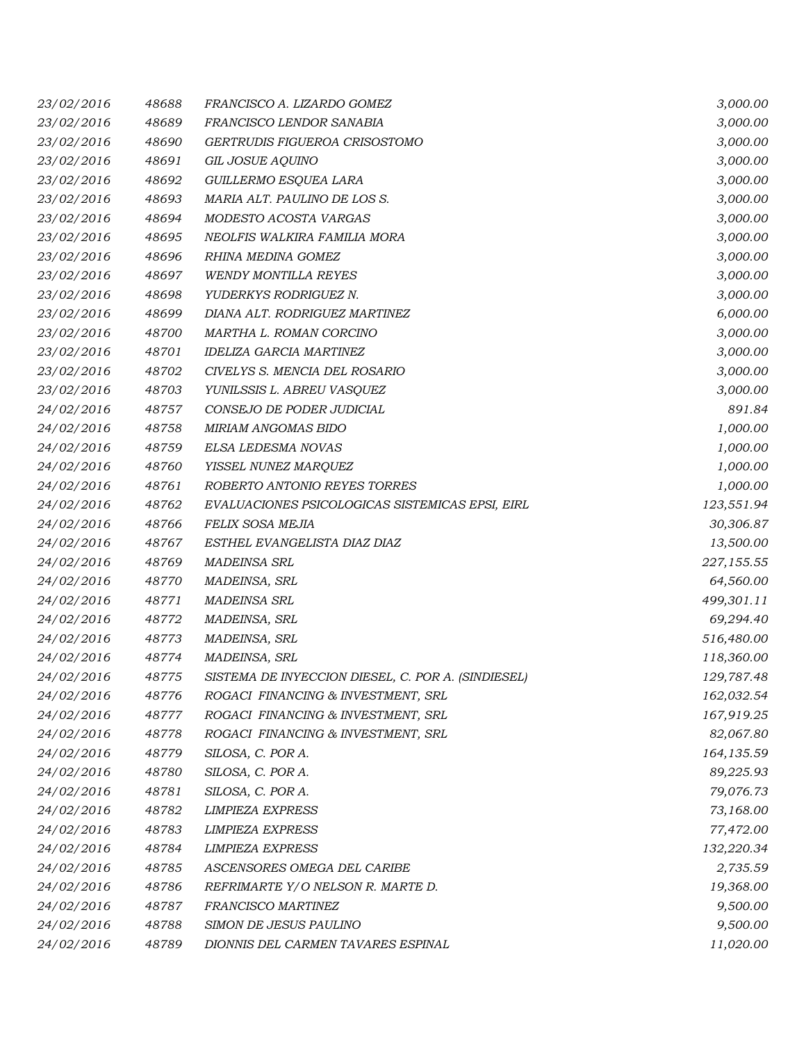| 23/02/2016 | 48688 | FRANCISCO A. LIZARDO GOMEZ                         | 3,000.00   |
|------------|-------|----------------------------------------------------|------------|
| 23/02/2016 | 48689 | FRANCISCO LENDOR SANABIA                           | 3,000.00   |
| 23/02/2016 | 48690 | GERTRUDIS FIGUEROA CRISOSTOMO                      | 3,000.00   |
| 23/02/2016 | 48691 | GIL JOSUE AQUINO                                   | 3,000.00   |
| 23/02/2016 | 48692 | GUILLERMO ESQUEA LARA                              | 3,000.00   |
| 23/02/2016 | 48693 | MARIA ALT. PAULINO DE LOS S.                       | 3,000.00   |
| 23/02/2016 | 48694 | MODESTO ACOSTA VARGAS                              | 3,000.00   |
| 23/02/2016 | 48695 | NEOLFIS WALKIRA FAMILIA MORA                       | 3,000.00   |
| 23/02/2016 | 48696 | RHINA MEDINA GOMEZ                                 | 3,000.00   |
| 23/02/2016 | 48697 | <b>WENDY MONTILLA REYES</b>                        | 3,000.00   |
| 23/02/2016 | 48698 | YUDERKYS RODRIGUEZ N.                              | 3,000.00   |
| 23/02/2016 | 48699 | DIANA ALT. RODRIGUEZ MARTINEZ                      | 6,000.00   |
| 23/02/2016 | 48700 | MARTHA L. ROMAN CORCINO                            | 3,000.00   |
| 23/02/2016 | 48701 | <b>IDELIZA GARCIA MARTINEZ</b>                     | 3,000.00   |
| 23/02/2016 | 48702 | CIVELYS S. MENCIA DEL ROSARIO                      | 3,000.00   |
| 23/02/2016 | 48703 | YUNILSSIS L. ABREU VASQUEZ                         | 3,000.00   |
| 24/02/2016 | 48757 | CONSEJO DE PODER JUDICIAL                          | 891.84     |
| 24/02/2016 | 48758 | MIRIAM ANGOMAS BIDO                                | 1,000.00   |
| 24/02/2016 | 48759 | ELSA LEDESMA NOVAS                                 | 1,000.00   |
| 24/02/2016 | 48760 | YISSEL NUNEZ MARQUEZ                               | 1,000.00   |
| 24/02/2016 | 48761 | ROBERTO ANTONIO REYES TORRES                       | 1,000.00   |
| 24/02/2016 | 48762 | EVALUACIONES PSICOLOGICAS SISTEMICAS EPSI, EIRL    | 123,551.94 |
| 24/02/2016 | 48766 | FELIX SOSA MEJIA                                   | 30,306.87  |
| 24/02/2016 | 48767 | ESTHEL EVANGELISTA DIAZ DIAZ                       | 13,500.00  |
| 24/02/2016 | 48769 | <b>MADEINSA SRL</b>                                | 227,155.55 |
| 24/02/2016 | 48770 | MADEINSA, SRL                                      | 64,560.00  |
| 24/02/2016 | 48771 | <b>MADEINSA SRL</b>                                | 499,301.11 |
| 24/02/2016 | 48772 | MADEINSA, SRL                                      | 69,294.40  |
| 24/02/2016 | 48773 | MADEINSA, SRL                                      | 516,480.00 |
| 24/02/2016 | 48774 | MADEINSA, SRL                                      | 118,360.00 |
| 24/02/2016 | 48775 | SISTEMA DE INYECCION DIESEL, C. POR A. (SINDIESEL) | 129,787.48 |
| 24/02/2016 | 48776 | ROGACI FINANCING & INVESTMENT, SRL                 | 162,032.54 |
| 24/02/2016 | 48777 | ROGACI FINANCING & INVESTMENT, SRL                 | 167,919.25 |
| 24/02/2016 | 48778 | ROGACI FINANCING & INVESTMENT, SRL                 | 82,067.80  |
| 24/02/2016 | 48779 | SILOSA, C. POR A.                                  | 164,135.59 |
| 24/02/2016 | 48780 | SILOSA, C. POR A.                                  | 89,225.93  |
| 24/02/2016 | 48781 | SILOSA, C. POR A.                                  | 79,076.73  |
| 24/02/2016 | 48782 | <b>LIMPIEZA EXPRESS</b>                            | 73,168.00  |
| 24/02/2016 | 48783 | <b>LIMPIEZA EXPRESS</b>                            | 77,472.00  |
| 24/02/2016 | 48784 | <b>LIMPIEZA EXPRESS</b>                            | 132,220.34 |
| 24/02/2016 | 48785 | ASCENSORES OMEGA DEL CARIBE                        | 2,735.59   |
| 24/02/2016 | 48786 | REFRIMARTE Y/O NELSON R. MARTE D.                  | 19,368.00  |
| 24/02/2016 | 48787 | FRANCISCO MARTINEZ                                 | 9,500.00   |
| 24/02/2016 | 48788 | SIMON DE JESUS PAULINO                             | 9,500.00   |
| 24/02/2016 | 48789 | DIONNIS DEL CARMEN TAVARES ESPINAL                 | 11,020.00  |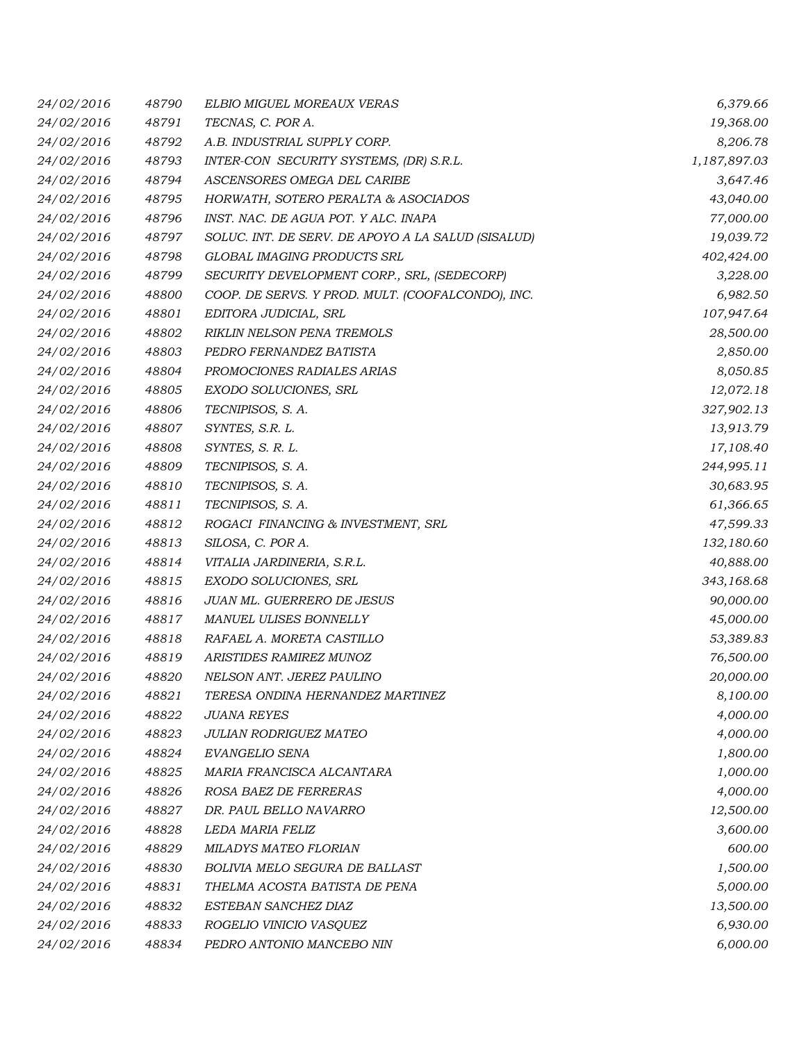| 24/02/2016 | 48790 | ELBIO MIGUEL MOREAUX VERAS                         | 6,379.66     |
|------------|-------|----------------------------------------------------|--------------|
| 24/02/2016 | 48791 | TECNAS, C. POR A.                                  | 19,368.00    |
| 24/02/2016 | 48792 | A.B. INDUSTRIAL SUPPLY CORP.                       | 8,206.78     |
| 24/02/2016 | 48793 | INTER-CON SECURITY SYSTEMS, (DR) S.R.L.            | 1,187,897.03 |
| 24/02/2016 | 48794 | ASCENSORES OMEGA DEL CARIBE                        | 3,647.46     |
| 24/02/2016 | 48795 | HORWATH, SOTERO PERALTA & ASOCIADOS                | 43,040.00    |
| 24/02/2016 | 48796 | INST. NAC. DE AGUA POT. Y ALC. INAPA               | 77,000.00    |
| 24/02/2016 | 48797 | SOLUC. INT. DE SERV. DE APOYO A LA SALUD (SISALUD) | 19,039.72    |
| 24/02/2016 | 48798 | GLOBAL IMAGING PRODUCTS SRL                        | 402,424.00   |
| 24/02/2016 | 48799 | SECURITY DEVELOPMENT CORP., SRL, (SEDECORP)        | 3,228.00     |
| 24/02/2016 | 48800 | COOP. DE SERVS. Y PROD. MULT. (COOFALCONDO), INC.  | 6,982.50     |
| 24/02/2016 | 48801 | EDITORA JUDICIAL, SRL                              | 107,947.64   |
| 24/02/2016 | 48802 | RIKLIN NELSON PENA TREMOLS                         | 28,500.00    |
| 24/02/2016 | 48803 | PEDRO FERNANDEZ BATISTA                            | 2,850.00     |
| 24/02/2016 | 48804 | PROMOCIONES RADIALES ARIAS                         | 8,050.85     |
| 24/02/2016 | 48805 | EXODO SOLUCIONES, SRL                              | 12,072.18    |
| 24/02/2016 | 48806 | TECNIPISOS, S. A.                                  | 327,902.13   |
| 24/02/2016 | 48807 | SYNTES, S.R. L.                                    | 13,913.79    |
| 24/02/2016 | 48808 | SYNTES, S. R. L.                                   | 17,108.40    |
| 24/02/2016 | 48809 | TECNIPISOS, S. A.                                  | 244,995.11   |
| 24/02/2016 | 48810 | TECNIPISOS, S. A.                                  | 30,683.95    |
| 24/02/2016 | 48811 | TECNIPISOS, S. A.                                  | 61,366.65    |
| 24/02/2016 | 48812 | ROGACI FINANCING & INVESTMENT, SRL                 | 47,599.33    |
| 24/02/2016 | 48813 | SILOSA, C. POR A.                                  | 132,180.60   |
| 24/02/2016 | 48814 | VITALIA JARDINERIA, S.R.L.                         | 40,888.00    |
| 24/02/2016 | 48815 | EXODO SOLUCIONES, SRL                              | 343,168.68   |
| 24/02/2016 | 48816 | JUAN ML. GUERRERO DE JESUS                         | 90,000.00    |
| 24/02/2016 | 48817 | MANUEL ULISES BONNELLY                             | 45,000.00    |
| 24/02/2016 | 48818 | RAFAEL A. MORETA CASTILLO                          | 53,389.83    |
| 24/02/2016 | 48819 | ARISTIDES RAMIREZ MUNOZ                            | 76,500.00    |
| 24/02/2016 | 48820 | NELSON ANT. JEREZ PAULINO                          | 20,000.00    |
| 24/02/2016 | 48821 | TERESA ONDINA HERNANDEZ MARTINEZ                   | 8,100.00     |
| 24/02/2016 | 48822 | <b>JUANA REYES</b>                                 | 4,000.00     |
| 24/02/2016 | 48823 | JULIAN RODRIGUEZ MATEO                             | 4,000.00     |
| 24/02/2016 | 48824 | EVANGELIO SENA                                     | 1,800.00     |
| 24/02/2016 | 48825 | MARIA FRANCISCA ALCANTARA                          | 1,000.00     |
| 24/02/2016 | 48826 | ROSA BAEZ DE FERRERAS                              | 4,000.00     |
| 24/02/2016 | 48827 | DR. PAUL BELLO NAVARRO                             | 12,500.00    |
| 24/02/2016 | 48828 | LEDA MARIA FELIZ                                   | 3,600.00     |
| 24/02/2016 | 48829 | MILADYS MATEO FLORIAN                              | 600.00       |
| 24/02/2016 | 48830 | BOLIVIA MELO SEGURA DE BALLAST                     | 1,500.00     |
| 24/02/2016 | 48831 | THELMA ACOSTA BATISTA DE PENA                      | 5,000.00     |
| 24/02/2016 | 48832 | ESTEBAN SANCHEZ DIAZ                               | 13,500.00    |
| 24/02/2016 | 48833 | ROGELIO VINICIO VASQUEZ                            | 6,930.00     |
| 24/02/2016 | 48834 | PEDRO ANTONIO MANCEBO NIN                          | 6,000.00     |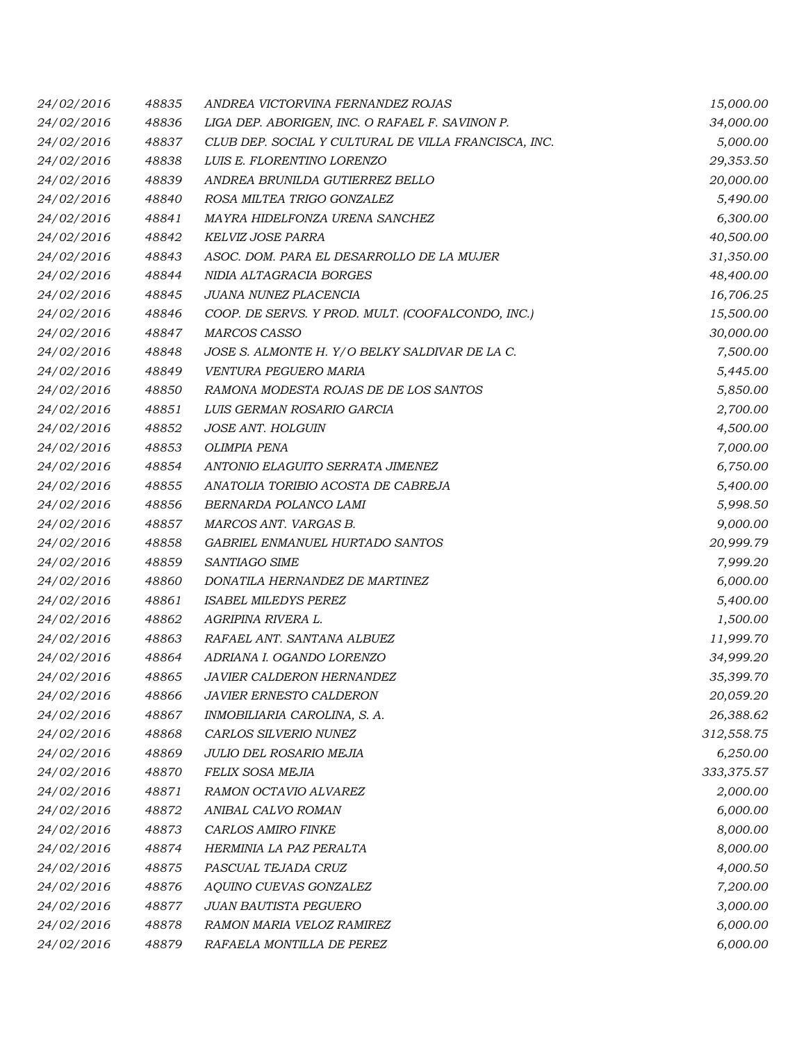| 24/02/2016 | 48835 | ANDREA VICTORVINA FERNANDEZ ROJAS                    | 15,000.00  |
|------------|-------|------------------------------------------------------|------------|
| 24/02/2016 | 48836 | LIGA DEP. ABORIGEN, INC. O RAFAEL F. SAVINON P.      | 34,000.00  |
| 24/02/2016 | 48837 | CLUB DEP. SOCIAL Y CULTURAL DE VILLA FRANCISCA, INC. | 5,000.00   |
| 24/02/2016 | 48838 | LUIS E. FLORENTINO LORENZO                           | 29,353.50  |
| 24/02/2016 | 48839 | ANDREA BRUNILDA GUTIERREZ BELLO                      | 20,000.00  |
| 24/02/2016 | 48840 | ROSA MILTEA TRIGO GONZALEZ                           | 5,490.00   |
| 24/02/2016 | 48841 | MAYRA HIDELFONZA URENA SANCHEZ                       | 6,300.00   |
| 24/02/2016 | 48842 | KELVIZ JOSE PARRA                                    | 40,500.00  |
| 24/02/2016 | 48843 | ASOC. DOM. PARA EL DESARROLLO DE LA MUJER            | 31,350.00  |
| 24/02/2016 | 48844 | NIDIA ALTAGRACIA BORGES                              | 48,400.00  |
| 24/02/2016 | 48845 | JUANA NUNEZ PLACENCIA                                | 16,706.25  |
| 24/02/2016 | 48846 | COOP. DE SERVS. Y PROD. MULT. (COOFALCONDO, INC.)    | 15,500.00  |
| 24/02/2016 | 48847 | MARCOS CASSO                                         | 30,000.00  |
| 24/02/2016 | 48848 | JOSE S. ALMONTE H. Y/O BELKY SALDIVAR DE LA C.       | 7,500.00   |
| 24/02/2016 | 48849 | VENTURA PEGUERO MARIA                                | 5,445.00   |
| 24/02/2016 | 48850 | RAMONA MODESTA ROJAS DE DE LOS SANTOS                | 5,850.00   |
| 24/02/2016 | 48851 | LUIS GERMAN ROSARIO GARCIA                           | 2,700.00   |
| 24/02/2016 | 48852 | JOSE ANT. HOLGUIN                                    | 4,500.00   |
| 24/02/2016 | 48853 | <b>OLIMPIA PENA</b>                                  | 7,000.00   |
| 24/02/2016 | 48854 | ANTONIO ELAGUITO SERRATA JIMENEZ                     | 6,750.00   |
| 24/02/2016 | 48855 | ANATOLIA TORIBIO ACOSTA DE CABREJA                   | 5,400.00   |
| 24/02/2016 | 48856 | BERNARDA POLANCO LAMI                                | 5,998.50   |
| 24/02/2016 | 48857 | MARCOS ANT. VARGAS B.                                | 9,000.00   |
| 24/02/2016 | 48858 | GABRIEL ENMANUEL HURTADO SANTOS                      | 20,999.79  |
| 24/02/2016 | 48859 | SANTIAGO SIME                                        | 7,999.20   |
| 24/02/2016 | 48860 | DONATILA HERNANDEZ DE MARTINEZ                       | 6,000.00   |
| 24/02/2016 | 48861 | <b>ISABEL MILEDYS PEREZ</b>                          | 5,400.00   |
| 24/02/2016 | 48862 | AGRIPINA RIVERA L.                                   | 1,500.00   |
| 24/02/2016 | 48863 | RAFAEL ANT. SANTANA ALBUEZ                           | 11,999.70  |
| 24/02/2016 | 48864 | ADRIANA I. OGANDO LORENZO                            | 34,999.20  |
| 24/02/2016 | 48865 | <b>JAVIER CALDERON HERNANDEZ</b>                     | 35,399.70  |
| 24/02/2016 | 48866 | <b>JAVIER ERNESTO CALDERON</b>                       | 20,059.20  |
| 24/02/2016 | 48867 | INMOBILIARIA CAROLINA, S. A.                         | 26,388.62  |
| 24/02/2016 | 48868 | CARLOS SILVERIO NUNEZ                                | 312,558.75 |
| 24/02/2016 | 48869 | JULIO DEL ROSARIO MEJIA                              | 6,250.00   |
| 24/02/2016 | 48870 | FELIX SOSA MEJIA                                     | 333,375.57 |
| 24/02/2016 | 48871 | RAMON OCTAVIO ALVAREZ                                | 2,000.00   |
| 24/02/2016 | 48872 | ANIBAL CALVO ROMAN                                   | 6,000.00   |
| 24/02/2016 | 48873 | CARLOS AMIRO FINKE                                   | 8,000.00   |
| 24/02/2016 | 48874 | HERMINIA LA PAZ PERALTA                              | 8,000.00   |
| 24/02/2016 | 48875 | PASCUAL TEJADA CRUZ                                  | 4,000.50   |
| 24/02/2016 | 48876 | AQUINO CUEVAS GONZALEZ                               | 7,200.00   |
| 24/02/2016 | 48877 | <b>JUAN BAUTISTA PEGUERO</b>                         | 3,000.00   |
| 24/02/2016 | 48878 | RAMON MARIA VELOZ RAMIREZ                            | 6,000.00   |
| 24/02/2016 | 48879 | RAFAELA MONTILLA DE PEREZ                            | 6,000.00   |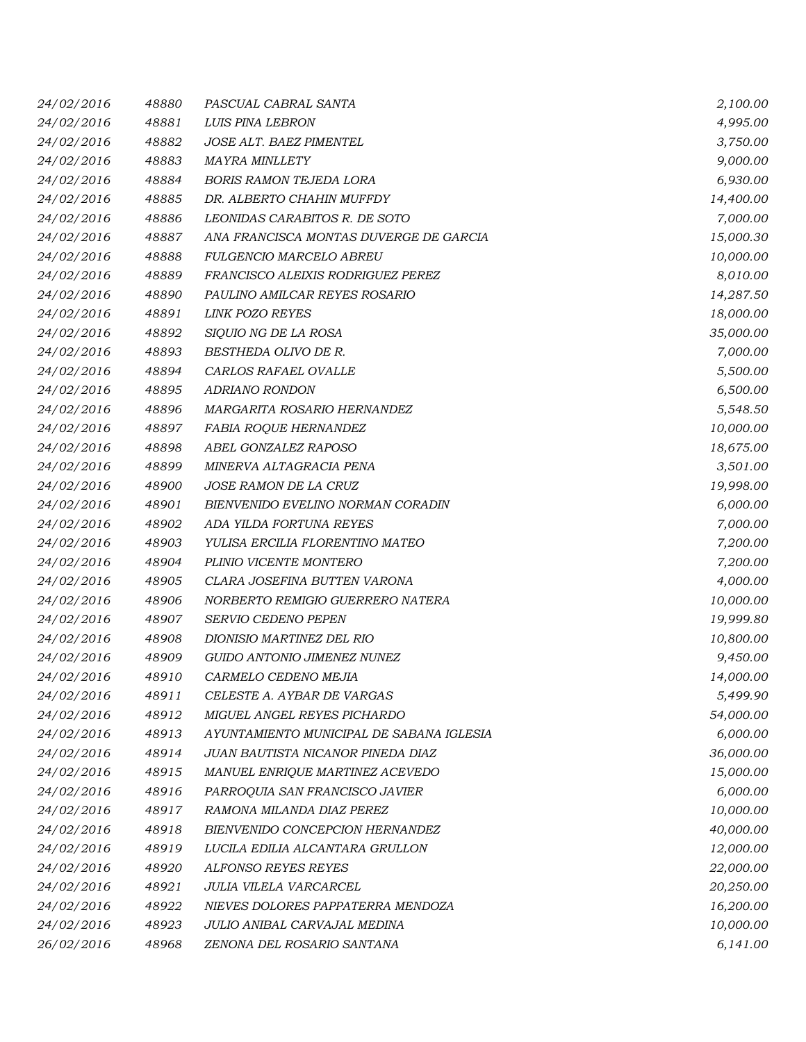| 24/02/2016 | 48880 | PASCUAL CABRAL SANTA                     | 2,100.00  |
|------------|-------|------------------------------------------|-----------|
| 24/02/2016 | 48881 | LUIS PINA LEBRON                         | 4,995.00  |
| 24/02/2016 | 48882 | JOSE ALT. BAEZ PIMENTEL                  | 3,750.00  |
| 24/02/2016 | 48883 | <b>MAYRA MINLLETY</b>                    | 9,000.00  |
| 24/02/2016 | 48884 | <b>BORIS RAMON TEJEDA LORA</b>           | 6,930.00  |
| 24/02/2016 | 48885 | DR. ALBERTO CHAHIN MUFFDY                | 14,400.00 |
| 24/02/2016 | 48886 | LEONIDAS CARABITOS R. DE SOTO            | 7,000.00  |
| 24/02/2016 | 48887 | ANA FRANCISCA MONTAS DUVERGE DE GARCIA   | 15,000.30 |
| 24/02/2016 | 48888 | FULGENCIO MARCELO ABREU                  | 10,000.00 |
| 24/02/2016 | 48889 | FRANCISCO ALEIXIS RODRIGUEZ PEREZ        | 8,010.00  |
| 24/02/2016 | 48890 | PAULINO AMILCAR REYES ROSARIO            | 14,287.50 |
| 24/02/2016 | 48891 | <b>LINK POZO REYES</b>                   | 18,000.00 |
| 24/02/2016 | 48892 | SIQUIO NG DE LA ROSA                     | 35,000.00 |
| 24/02/2016 | 48893 | BESTHEDA OLIVO DE R.                     | 7,000.00  |
| 24/02/2016 | 48894 | CARLOS RAFAEL OVALLE                     | 5,500.00  |
| 24/02/2016 | 48895 | <b>ADRIANO RONDON</b>                    | 6,500.00  |
| 24/02/2016 | 48896 | MARGARITA ROSARIO HERNANDEZ              | 5,548.50  |
| 24/02/2016 | 48897 | <b>FABIA ROQUE HERNANDEZ</b>             | 10,000.00 |
| 24/02/2016 | 48898 | ABEL GONZALEZ RAPOSO                     | 18,675.00 |
| 24/02/2016 | 48899 | MINERVA ALTAGRACIA PENA                  | 3,501.00  |
| 24/02/2016 | 48900 | JOSE RAMON DE LA CRUZ                    | 19,998.00 |
| 24/02/2016 | 48901 | BIENVENIDO EVELINO NORMAN CORADIN        | 6,000.00  |
| 24/02/2016 | 48902 | ADA YILDA FORTUNA REYES                  | 7,000.00  |
| 24/02/2016 | 48903 | YULISA ERCILIA FLORENTINO MATEO          | 7,200.00  |
| 24/02/2016 | 48904 | PLINIO VICENTE MONTERO                   | 7,200.00  |
| 24/02/2016 | 48905 | CLARA JOSEFINA BUTTEN VARONA             | 4,000.00  |
| 24/02/2016 | 48906 | NORBERTO REMIGIO GUERRERO NATERA         | 10,000.00 |
| 24/02/2016 | 48907 | SERVIO CEDENO PEPEN                      | 19,999.80 |
| 24/02/2016 | 48908 | DIONISIO MARTINEZ DEL RIO                | 10,800.00 |
| 24/02/2016 | 48909 | GUIDO ANTONIO JIMENEZ NUNEZ              | 9,450.00  |
| 24/02/2016 | 48910 | CARMELO CEDENO MEJIA                     | 14,000.00 |
| 24/02/2016 | 48911 | CELESTE A. AYBAR DE VARGAS               | 5,499.90  |
| 24/02/2016 | 48912 | MIGUEL ANGEL REYES PICHARDO              | 54,000.00 |
| 24/02/2016 | 48913 | AYUNTAMIENTO MUNICIPAL DE SABANA IGLESIA | 6,000.00  |
| 24/02/2016 | 48914 | JUAN BAUTISTA NICANOR PINEDA DIAZ        | 36,000.00 |
| 24/02/2016 | 48915 | MANUEL ENRIQUE MARTINEZ ACEVEDO          | 15,000.00 |
| 24/02/2016 | 48916 | PARROQUIA SAN FRANCISCO JAVIER           | 6,000.00  |
| 24/02/2016 | 48917 | RAMONA MILANDA DIAZ PEREZ                | 10,000.00 |
| 24/02/2016 | 48918 | BIENVENIDO CONCEPCION HERNANDEZ          | 40,000.00 |
| 24/02/2016 | 48919 | LUCILA EDILIA ALCANTARA GRULLON          | 12,000.00 |
| 24/02/2016 | 48920 | <b>ALFONSO REYES REYES</b>               | 22,000.00 |
| 24/02/2016 | 48921 | JULIA VILELA VARCARCEL                   | 20,250.00 |
| 24/02/2016 | 48922 | NIEVES DOLORES PAPPATERRA MENDOZA        | 16,200.00 |
| 24/02/2016 | 48923 | JULIO ANIBAL CARVAJAL MEDINA             | 10,000.00 |
| 26/02/2016 | 48968 | ZENONA DEL ROSARIO SANTANA               | 6,141.00  |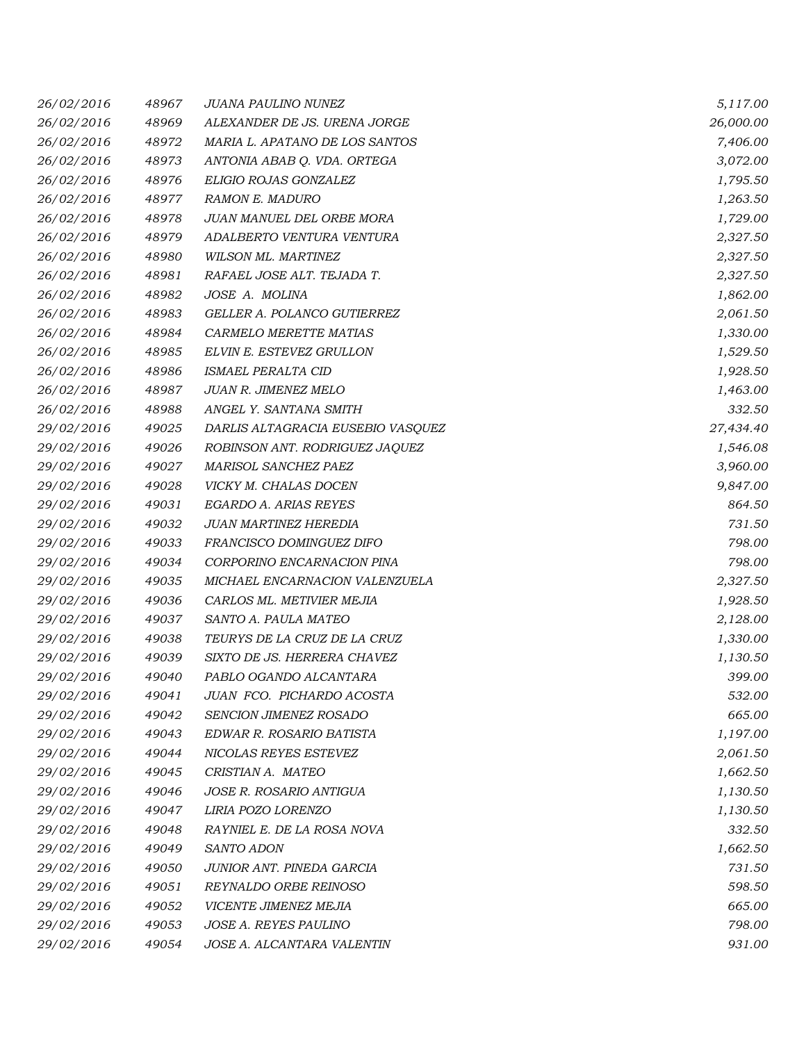| 26/02/2016 | 48967 | <b>JUANA PAULINO NUNEZ</b>        | 5,117.00  |
|------------|-------|-----------------------------------|-----------|
| 26/02/2016 | 48969 | ALEXANDER DE JS. URENA JORGE      | 26,000.00 |
| 26/02/2016 | 48972 | MARIA L. APATANO DE LOS SANTOS    | 7,406.00  |
| 26/02/2016 | 48973 | ANTONIA ABAB Q. VDA. ORTEGA       | 3,072.00  |
| 26/02/2016 | 48976 | ELIGIO ROJAS GONZALEZ             | 1,795.50  |
| 26/02/2016 | 48977 | <b>RAMON E. MADURO</b>            | 1,263.50  |
| 26/02/2016 | 48978 | JUAN MANUEL DEL ORBE MORA         | 1,729.00  |
| 26/02/2016 | 48979 | ADALBERTO VENTURA VENTURA         | 2,327.50  |
| 26/02/2016 | 48980 | WILSON ML. MARTINEZ               | 2,327.50  |
| 26/02/2016 | 48981 | RAFAEL JOSE ALT. TEJADA T.        | 2,327.50  |
| 26/02/2016 | 48982 | JOSE A. MOLINA                    | 1,862.00  |
| 26/02/2016 | 48983 | GELLER A. POLANCO GUTIERREZ       | 2,061.50  |
| 26/02/2016 | 48984 | CARMELO MERETTE MATIAS            | 1,330.00  |
| 26/02/2016 | 48985 | ELVIN E. ESTEVEZ GRULLON          | 1,529.50  |
| 26/02/2016 | 48986 | ISMAEL PERALTA CID                | 1,928.50  |
| 26/02/2016 | 48987 | JUAN R. JIMENEZ MELO              | 1,463.00  |
| 26/02/2016 | 48988 | ANGEL Y. SANTANA SMITH            | 332.50    |
| 29/02/2016 | 49025 | DARLIS ALTAGRACIA EUSEBIO VASQUEZ | 27,434.40 |
| 29/02/2016 | 49026 | ROBINSON ANT. RODRIGUEZ JAQUEZ    | 1,546.08  |
| 29/02/2016 | 49027 | <b>MARISOL SANCHEZ PAEZ</b>       | 3,960.00  |
| 29/02/2016 | 49028 | VICKY M. CHALAS DOCEN             | 9,847.00  |
| 29/02/2016 | 49031 | EGARDO A. ARIAS REYES             | 864.50    |
| 29/02/2016 | 49032 | JUAN MARTINEZ HEREDIA             | 731.50    |
| 29/02/2016 | 49033 | FRANCISCO DOMINGUEZ DIFO          | 798.00    |
| 29/02/2016 | 49034 | CORPORINO ENCARNACION PINA        | 798.00    |
| 29/02/2016 | 49035 | MICHAEL ENCARNACION VALENZUELA    | 2,327.50  |
| 29/02/2016 | 49036 | CARLOS ML. METIVIER MEJIA         | 1,928.50  |
| 29/02/2016 | 49037 | SANTO A. PAULA MATEO              | 2,128.00  |
| 29/02/2016 | 49038 | TEURYS DE LA CRUZ DE LA CRUZ      | 1,330.00  |
| 29/02/2016 | 49039 | SIXTO DE JS. HERRERA CHAVEZ       | 1,130.50  |
| 29/02/2016 | 49040 | PABLO OGANDO ALCANTARA            | 399.00    |
| 29/02/2016 | 49041 | JUAN FCO. PICHARDO ACOSTA         | 532.00    |
| 29/02/2016 | 49042 | <b>SENCION JIMENEZ ROSADO</b>     | 665.00    |
| 29/02/2016 | 49043 | EDWAR R. ROSARIO BATISTA          | 1,197.00  |
| 29/02/2016 | 49044 | NICOLAS REYES ESTEVEZ             | 2,061.50  |
| 29/02/2016 | 49045 | CRISTIAN A. MATEO                 | 1,662.50  |
| 29/02/2016 | 49046 | JOSE R. ROSARIO ANTIGUA           | 1,130.50  |
| 29/02/2016 | 49047 | LIRIA POZO LORENZO                | 1,130.50  |
| 29/02/2016 | 49048 | RAYNIEL E. DE LA ROSA NOVA        | 332.50    |
| 29/02/2016 | 49049 | SANTO ADON                        | 1,662.50  |
| 29/02/2016 | 49050 | JUNIOR ANT. PINEDA GARCIA         | 731.50    |
| 29/02/2016 | 49051 | REYNALDO ORBE REINOSO             | 598.50    |
| 29/02/2016 | 49052 | VICENTE JIMENEZ MEJIA             | 665.00    |
| 29/02/2016 | 49053 | JOSE A. REYES PAULINO             | 798.00    |
| 29/02/2016 | 49054 | JOSE A. ALCANTARA VALENTIN        | 931.00    |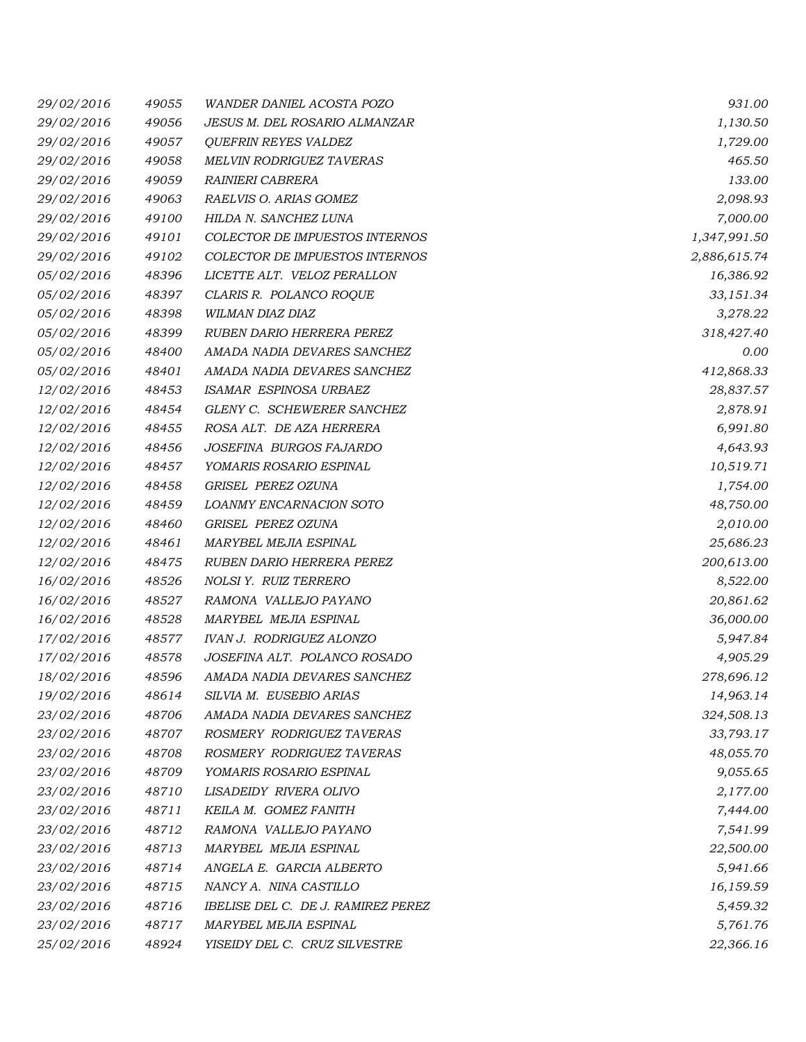| 29/02/2016 | 49055 | <b>WANDER DANIEL ACOSTA POZO</b>   | 931.00       |
|------------|-------|------------------------------------|--------------|
| 29/02/2016 | 49056 | JESUS M. DEL ROSARIO ALMANZAR      | 1,130.50     |
| 29/02/2016 | 49057 | <b>QUEFRIN REYES VALDEZ</b>        | 1,729.00     |
| 29/02/2016 | 49058 | <b>MELVIN RODRIGUEZ TAVERAS</b>    | 465.50       |
| 29/02/2016 | 49059 | RAINIERI CABRERA                   | 133.00       |
| 29/02/2016 | 49063 | RAELVIS O. ARIAS GOMEZ             | 2,098.93     |
| 29/02/2016 | 49100 | HILDA N. SANCHEZ LUNA              | 7,000.00     |
| 29/02/2016 | 49101 | COLECTOR DE IMPUESTOS INTERNOS     | 1,347,991.50 |
| 29/02/2016 | 49102 | COLECTOR DE IMPUESTOS INTERNOS     | 2,886,615.74 |
| 05/02/2016 | 48396 | LICETTE ALT. VELOZ PERALLON        | 16,386.92    |
| 05/02/2016 | 48397 | CLARIS R. POLANCO ROQUE            | 33,151.34    |
| 05/02/2016 | 48398 | WILMAN DIAZ DIAZ                   | 3,278.22     |
| 05/02/2016 | 48399 | RUBEN DARIO HERRERA PEREZ          | 318,427.40   |
| 05/02/2016 | 48400 | AMADA NADIA DEVARES SANCHEZ        | 0.00         |
| 05/02/2016 | 48401 | AMADA NADIA DEVARES SANCHEZ        | 412,868.33   |
| 12/02/2016 | 48453 | ISAMAR ESPINOSA URBAEZ             | 28,837.57    |
| 12/02/2016 | 48454 | GLENY C. SCHEWERER SANCHEZ         | 2,878.91     |
| 12/02/2016 | 48455 | ROSA ALT. DE AZA HERRERA           | 6,991.80     |
| 12/02/2016 | 48456 | JOSEFINA BURGOS FAJARDO            | 4,643.93     |
| 12/02/2016 | 48457 | YOMARIS ROSARIO ESPINAL            | 10,519.71    |
| 12/02/2016 | 48458 | GRISEL PEREZ OZUNA                 | 1,754.00     |
| 12/02/2016 | 48459 | LOANMY ENCARNACION SOTO            | 48,750.00    |
| 12/02/2016 | 48460 | GRISEL PEREZ OZUNA                 | 2,010.00     |
| 12/02/2016 | 48461 | MARYBEL MEJIA ESPINAL              | 25,686.23    |
| 12/02/2016 | 48475 | RUBEN DARIO HERRERA PEREZ          | 200,613.00   |
| 16/02/2016 | 48526 | NOLSI Y. RUIZ TERRERO              | 8,522.00     |
| 16/02/2016 | 48527 | RAMONA VALLEJO PAYANO              | 20,861.62    |
| 16/02/2016 | 48528 | MARYBEL MEJIA ESPINAL              | 36,000.00    |
| 17/02/2016 | 48577 | <b>IVAN J. RODRIGUEZ ALONZO</b>    | 5,947.84     |
| 17/02/2016 | 48578 | JOSEFINA ALT. POLANCO ROSADO       | 4,905.29     |
| 18/02/2016 | 48596 | AMADA NADIA DEVARES SANCHEZ        | 278,696.12   |
| 19/02/2016 | 48614 | SILVIA M. EUSEBIO ARIAS            | 14,963.14    |
| 23/02/2016 | 48706 | AMADA NADIA DEVARES SANCHEZ        | 324,508.13   |
| 23/02/2016 | 48707 | ROSMERY RODRIGUEZ TAVERAS          | 33,793.17    |
| 23/02/2016 | 48708 | ROSMERY RODRIGUEZ TAVERAS          | 48,055.70    |
| 23/02/2016 | 48709 | YOMARIS ROSARIO ESPINAL            | 9,055.65     |
| 23/02/2016 | 48710 | LISADEIDY RIVERA OLIVO             | 2,177.00     |
| 23/02/2016 | 48711 | KEILA M. GOMEZ FANITH              | 7,444.00     |
| 23/02/2016 | 48712 | RAMONA VALLEJO PAYANO              | 7,541.99     |
| 23/02/2016 | 48713 | MARYBEL MEJIA ESPINAL              | 22,500.00    |
| 23/02/2016 | 48714 | ANGELA E. GARCIA ALBERTO           | 5,941.66     |
| 23/02/2016 | 48715 | NANCY A. NINA CASTILLO             | 16,159.59    |
| 23/02/2016 | 48716 | IBELISE DEL C. DE J. RAMIREZ PEREZ | 5,459.32     |
| 23/02/2016 | 48717 | MARYBEL MEJIA ESPINAL              | 5,761.76     |
| 25/02/2016 | 48924 | YISEIDY DEL C. CRUZ SILVESTRE      | 22,366.16    |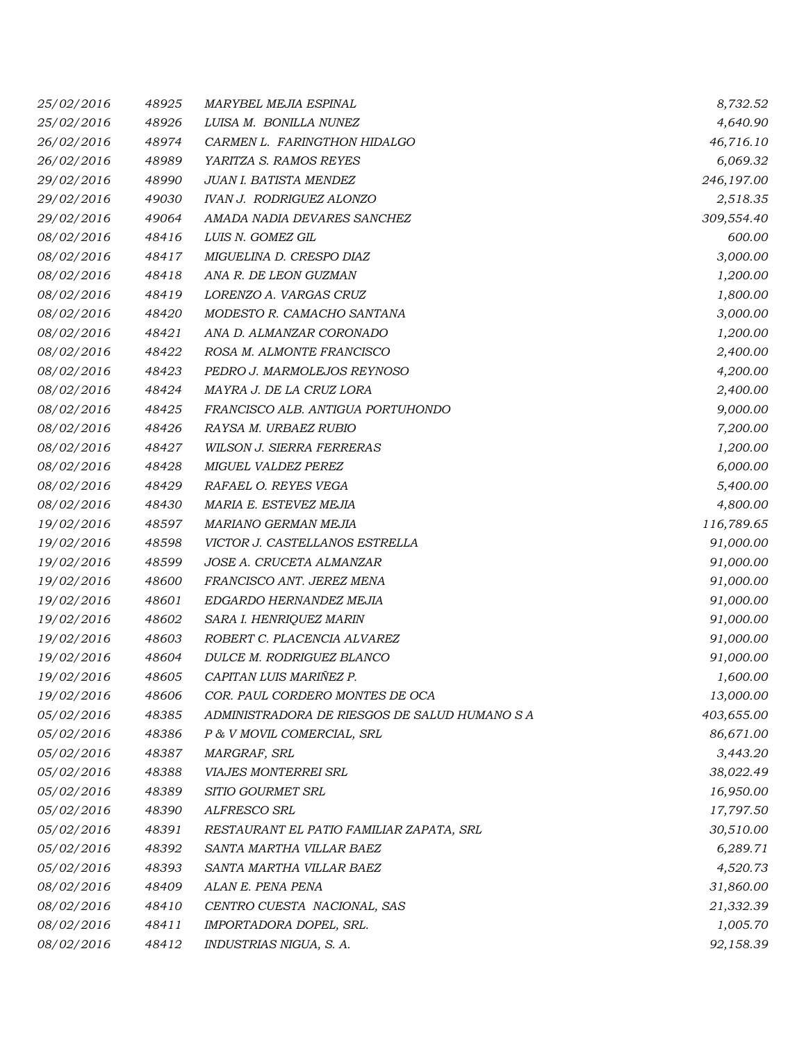| 25/02/2016 | 48925 | MARYBEL MEJIA ESPINAL                         | 8,732.52   |
|------------|-------|-----------------------------------------------|------------|
| 25/02/2016 | 48926 | LUISA M. BONILLA NUNEZ                        | 4,640.90   |
| 26/02/2016 | 48974 | CARMEN L. FARINGTHON HIDALGO                  | 46,716.10  |
| 26/02/2016 | 48989 | YARITZA S. RAMOS REYES                        | 6,069.32   |
| 29/02/2016 | 48990 | JUAN I. BATISTA MENDEZ                        | 246,197.00 |
| 29/02/2016 | 49030 | <b>IVAN J. RODRIGUEZ ALONZO</b>               | 2,518.35   |
| 29/02/2016 | 49064 | AMADA NADIA DEVARES SANCHEZ                   | 309,554.40 |
| 08/02/2016 | 48416 | LUIS N. GOMEZ GIL                             | 600.00     |
| 08/02/2016 | 48417 | MIGUELINA D. CRESPO DIAZ                      | 3,000.00   |
| 08/02/2016 | 48418 | ANA R. DE LEON GUZMAN                         | 1,200.00   |
| 08/02/2016 | 48419 | LORENZO A. VARGAS CRUZ                        | 1,800.00   |
| 08/02/2016 | 48420 | MODESTO R. CAMACHO SANTANA                    | 3,000.00   |
| 08/02/2016 | 48421 | ANA D. ALMANZAR CORONADO                      | 1,200.00   |
| 08/02/2016 | 48422 | ROSA M. ALMONTE FRANCISCO                     | 2,400.00   |
| 08/02/2016 | 48423 | PEDRO J. MARMOLEJOS REYNOSO                   | 4,200.00   |
| 08/02/2016 | 48424 | MAYRA J. DE LA CRUZ LORA                      | 2,400.00   |
| 08/02/2016 | 48425 | FRANCISCO ALB. ANTIGUA PORTUHONDO             | 9,000.00   |
| 08/02/2016 | 48426 | RAYSA M. URBAEZ RUBIO                         | 7,200.00   |
| 08/02/2016 | 48427 | <b>WILSON J. SIERRA FERRERAS</b>              | 1,200.00   |
| 08/02/2016 | 48428 | MIGUEL VALDEZ PEREZ                           | 6,000.00   |
| 08/02/2016 | 48429 | RAFAEL O. REYES VEGA                          | 5,400.00   |
| 08/02/2016 | 48430 | MARIA E. ESTEVEZ MEJIA                        | 4,800.00   |
| 19/02/2016 | 48597 | MARIANO GERMAN MEJIA                          | 116,789.65 |
| 19/02/2016 | 48598 | VICTOR J. CASTELLANOS ESTRELLA                | 91,000.00  |
| 19/02/2016 | 48599 | JOSE A. CRUCETA ALMANZAR                      | 91,000.00  |
| 19/02/2016 | 48600 | FRANCISCO ANT. JEREZ MENA                     | 91,000.00  |
| 19/02/2016 | 48601 | EDGARDO HERNANDEZ MEJIA                       | 91,000.00  |
| 19/02/2016 | 48602 | SARA I. HENRIQUEZ MARIN                       | 91,000.00  |
| 19/02/2016 | 48603 | ROBERT C. PLACENCIA ALVAREZ                   | 91,000.00  |
| 19/02/2016 | 48604 | DULCE M. RODRIGUEZ BLANCO                     | 91,000.00  |
| 19/02/2016 | 48605 | CAPITAN LUIS MARIÑEZ P.                       | 1,600.00   |
| 19/02/2016 | 48606 | COR. PAUL CORDERO MONTES DE OCA               | 13,000.00  |
| 05/02/2016 | 48385 | ADMINISTRADORA DE RIESGOS DE SALUD HUMANO S A | 403,655.00 |
| 05/02/2016 | 48386 | P & V MOVIL COMERCIAL, SRL                    | 86,671.00  |
| 05/02/2016 | 48387 | MARGRAF, SRL                                  | 3,443.20   |
| 05/02/2016 | 48388 | <b>VIAJES MONTERREI SRL</b>                   | 38,022.49  |
| 05/02/2016 | 48389 | SITIO GOURMET SRL                             | 16,950.00  |
| 05/02/2016 | 48390 | ALFRESCO SRL                                  | 17,797.50  |
| 05/02/2016 | 48391 | RESTAURANT EL PATIO FAMILIAR ZAPATA, SRL      | 30,510.00  |
| 05/02/2016 | 48392 | SANTA MARTHA VILLAR BAEZ                      | 6,289.71   |
| 05/02/2016 | 48393 | SANTA MARTHA VILLAR BAEZ                      | 4,520.73   |
| 08/02/2016 | 48409 | ALAN E. PENA PENA                             | 31,860.00  |
| 08/02/2016 | 48410 | CENTRO CUESTA NACIONAL, SAS                   | 21,332.39  |
| 08/02/2016 | 48411 | IMPORTADORA DOPEL, SRL.                       | 1,005.70   |
| 08/02/2016 | 48412 | INDUSTRIAS NIGUA, S. A.                       | 92,158.39  |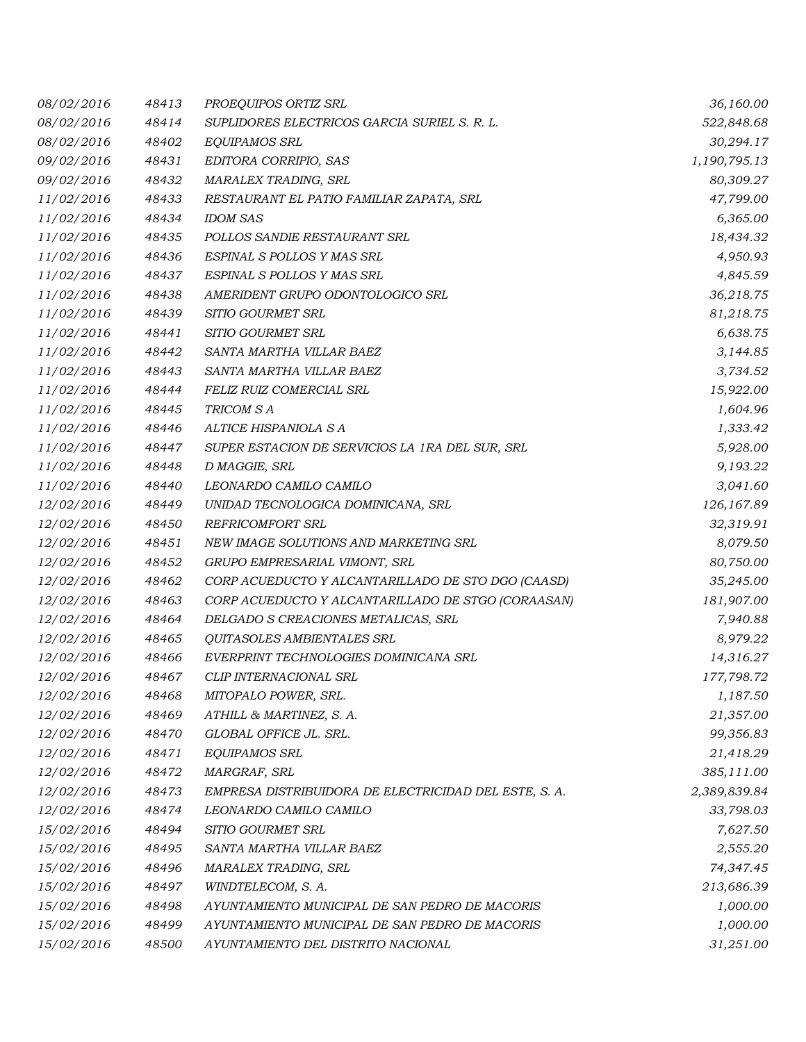| 08/02/2016 | 48413 | PROEQUIPOS ORTIZ SRL                                  | 36,160.00    |
|------------|-------|-------------------------------------------------------|--------------|
| 08/02/2016 | 48414 | SUPLIDORES ELECTRICOS GARCIA SURIEL S. R. L.          | 522,848.68   |
| 08/02/2016 | 48402 | EQUIPAMOS SRL                                         | 30,294.17    |
| 09/02/2016 | 48431 | EDITORA CORRIPIO, SAS                                 | 1,190,795.13 |
| 09/02/2016 | 48432 | MARALEX TRADING, SRL                                  | 80,309.27    |
| 11/02/2016 | 48433 | RESTAURANT EL PATIO FAMILIAR ZAPATA, SRL              | 47,799.00    |
| 11/02/2016 | 48434 | <b>IDOM SAS</b>                                       | 6,365.00     |
| 11/02/2016 | 48435 | POLLOS SANDIE RESTAURANT SRL                          | 18,434.32    |
| 11/02/2016 | 48436 | ESPINAL S POLLOS Y MAS SRL                            | 4,950.93     |
| 11/02/2016 | 48437 | ESPINAL S POLLOS Y MAS SRL                            | 4,845.59     |
| 11/02/2016 | 48438 | AMERIDENT GRUPO ODONTOLOGICO SRL                      | 36,218.75    |
| 11/02/2016 | 48439 | SITIO GOURMET SRL                                     | 81,218.75    |
| 11/02/2016 | 48441 | SITIO GOURMET SRL                                     | 6,638.75     |
| 11/02/2016 | 48442 | SANTA MARTHA VILLAR BAEZ                              | 3,144.85     |
| 11/02/2016 | 48443 | SANTA MARTHA VILLAR BAEZ                              | 3,734.52     |
| 11/02/2016 | 48444 | FELIZ RUIZ COMERCIAL SRL                              | 15,922.00    |
| 11/02/2016 | 48445 | TRICOM S A                                            | 1,604.96     |
| 11/02/2016 | 48446 | ALTICE HISPANIOLA S A                                 | 1,333.42     |
| 11/02/2016 | 48447 | SUPER ESTACION DE SERVICIOS LA 1RA DEL SUR, SRL       | 5,928.00     |
| 11/02/2016 | 48448 | D MAGGIE, SRL                                         | 9,193.22     |
| 11/02/2016 | 48440 | LEONARDO CAMILO CAMILO                                | 3,041.60     |
| 12/02/2016 | 48449 | UNIDAD TECNOLOGICA DOMINICANA, SRL                    | 126,167.89   |
| 12/02/2016 | 48450 | <b>REFRICOMFORT SRL</b>                               | 32,319.91    |
| 12/02/2016 | 48451 | NEW IMAGE SOLUTIONS AND MARKETING SRL                 | 8,079.50     |
| 12/02/2016 | 48452 | GRUPO EMPRESARIAL VIMONT, SRL                         | 80,750.00    |
| 12/02/2016 | 48462 | CORP ACUEDUCTO Y ALCANTARILLADO DE STO DGO (CAASD)    | 35,245.00    |
| 12/02/2016 | 48463 | CORP ACUEDUCTO Y ALCANTARILLADO DE STGO (CORAASAN)    | 181,907.00   |
| 12/02/2016 | 48464 | DELGADO S CREACIONES METALICAS, SRL                   | 7,940.88     |
| 12/02/2016 | 48465 | QUITASOLES AMBIENTALES SRL                            | 8,979.22     |
| 12/02/2016 | 48466 | EVERPRINT TECHNOLOGIES DOMINICANA SRL                 | 14,316.27    |
| 12/02/2016 | 48467 | CLIP INTERNACIONAL SRL                                | 177,798.72   |
| 12/02/2016 | 48468 | MITOPALO POWER, SRL.                                  | 1,187.50     |
| 12/02/2016 | 48469 | ATHILL & MARTINEZ, S. A.                              | 21,357.00    |
| 12/02/2016 | 48470 | GLOBAL OFFICE JL. SRL.                                | 99,356.83    |
| 12/02/2016 | 48471 | EQUIPAMOS SRL                                         | 21,418.29    |
| 12/02/2016 | 48472 | MARGRAF, SRL                                          | 385,111.00   |
| 12/02/2016 | 48473 | EMPRESA DISTRIBUIDORA DE ELECTRICIDAD DEL ESTE, S. A. | 2,389,839.84 |
| 12/02/2016 | 48474 | LEONARDO CAMILO CAMILO                                | 33,798.03    |
| 15/02/2016 | 48494 | SITIO GOURMET SRL                                     | 7,627.50     |
| 15/02/2016 | 48495 | SANTA MARTHA VILLAR BAEZ                              | 2,555.20     |
| 15/02/2016 | 48496 | MARALEX TRADING, SRL                                  | 74,347.45    |
| 15/02/2016 | 48497 | WINDTELECOM, S. A.                                    | 213,686.39   |
| 15/02/2016 | 48498 | AYUNTAMIENTO MUNICIPAL DE SAN PEDRO DE MACORIS        | 1,000.00     |
| 15/02/2016 | 48499 | AYUNTAMIENTO MUNICIPAL DE SAN PEDRO DE MACORIS        | 1,000.00     |
| 15/02/2016 | 48500 | AYUNTAMIENTO DEL DISTRITO NACIONAL                    | 31,251.00    |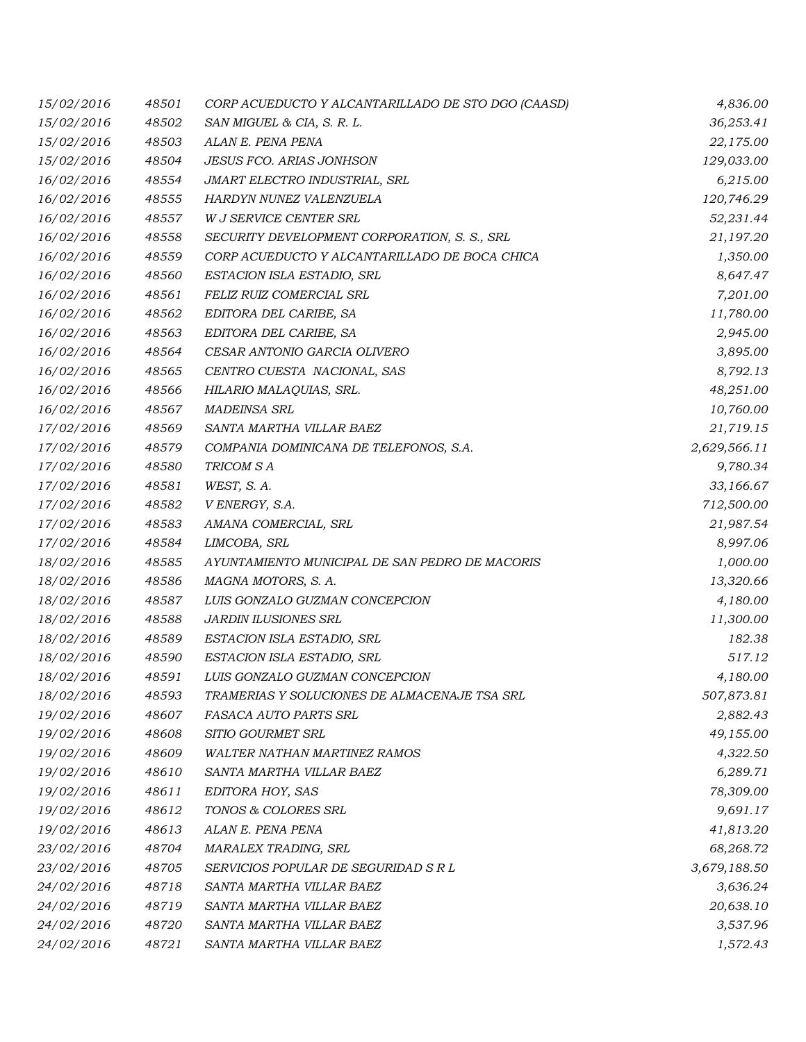| 15/02/2016 | 48501 | CORP ACUEDUCTO Y ALCANTARILLADO DE STO DGO (CAASD) | 4,836.00     |
|------------|-------|----------------------------------------------------|--------------|
| 15/02/2016 | 48502 | SAN MIGUEL & CIA, S. R. L.                         | 36,253.41    |
| 15/02/2016 | 48503 | ALAN E. PENA PENA                                  | 22,175.00    |
| 15/02/2016 | 48504 | <b>JESUS FCO. ARIAS JONHSON</b>                    | 129,033.00   |
| 16/02/2016 | 48554 | JMART ELECTRO INDUSTRIAL, SRL                      | 6,215.00     |
| 16/02/2016 | 48555 | HARDYN NUNEZ VALENZUELA                            | 120,746.29   |
| 16/02/2016 | 48557 | W J SERVICE CENTER SRL                             | 52,231.44    |
| 16/02/2016 | 48558 | SECURITY DEVELOPMENT CORPORATION, S. S., SRL       | 21,197.20    |
| 16/02/2016 | 48559 | CORP ACUEDUCTO Y ALCANTARILLADO DE BOCA CHICA      | 1,350.00     |
| 16/02/2016 | 48560 | ESTACION ISLA ESTADIO, SRL                         | 8,647.47     |
| 16/02/2016 | 48561 | FELIZ RUIZ COMERCIAL SRL                           | 7,201.00     |
| 16/02/2016 | 48562 | EDITORA DEL CARIBE, SA                             | 11,780.00    |
| 16/02/2016 | 48563 | EDITORA DEL CARIBE, SA                             | 2,945.00     |
| 16/02/2016 | 48564 | CESAR ANTONIO GARCIA OLIVERO                       | 3,895.00     |
| 16/02/2016 | 48565 | CENTRO CUESTA NACIONAL, SAS                        | 8,792.13     |
| 16/02/2016 | 48566 | HILARIO MALAQUIAS, SRL.                            | 48,251.00    |
| 16/02/2016 | 48567 | <b>MADEINSA SRL</b>                                | 10,760.00    |
| 17/02/2016 | 48569 | SANTA MARTHA VILLAR BAEZ                           | 21,719.15    |
| 17/02/2016 | 48579 | COMPANIA DOMINICANA DE TELEFONOS, S.A.             | 2,629,566.11 |
| 17/02/2016 | 48580 | TRICOM SA                                          | 9,780.34     |
| 17/02/2016 | 48581 | WEST, S. A.                                        | 33,166.67    |
| 17/02/2016 | 48582 | V ENERGY, S.A.                                     | 712,500.00   |
| 17/02/2016 | 48583 | AMANA COMERCIAL, SRL                               | 21,987.54    |
| 17/02/2016 | 48584 | LIMCOBA, SRL                                       | 8,997.06     |
| 18/02/2016 | 48585 | AYUNTAMIENTO MUNICIPAL DE SAN PEDRO DE MACORIS     | 1,000.00     |
| 18/02/2016 | 48586 | MAGNA MOTORS, S. A.                                | 13,320.66    |
| 18/02/2016 | 48587 | LUIS GONZALO GUZMAN CONCEPCION                     | 4,180.00     |
| 18/02/2016 | 48588 | <b>JARDIN ILUSIONES SRL</b>                        | 11,300.00    |
| 18/02/2016 | 48589 | ESTACION ISLA ESTADIO, SRL                         | 182.38       |
| 18/02/2016 | 48590 | ESTACION ISLA ESTADIO, SRL                         | 517.12       |
| 18/02/2016 | 48591 | LUIS GONZALO GUZMAN CONCEPCION                     | 4,180.00     |
| 18/02/2016 | 48593 | TRAMERIAS Y SOLUCIONES DE ALMACENAJE TSA SRL       | 507,873.81   |
| 19/02/2016 | 48607 | FASACA AUTO PARTS SRL                              | 2,882.43     |
| 19/02/2016 | 48608 | SITIO GOURMET SRL                                  | 49,155.00    |
| 19/02/2016 | 48609 | <b>WALTER NATHAN MARTINEZ RAMOS</b>                | 4,322.50     |
| 19/02/2016 | 48610 | SANTA MARTHA VILLAR BAEZ                           | 6,289.71     |
| 19/02/2016 | 48611 | EDITORA HOY, SAS                                   | 78,309.00    |
| 19/02/2016 | 48612 | TONOS & COLORES SRL                                | 9,691.17     |
| 19/02/2016 | 48613 | ALAN E. PENA PENA                                  | 41,813.20    |
| 23/02/2016 | 48704 | MARALEX TRADING, SRL                               | 68,268.72    |
| 23/02/2016 | 48705 | SERVICIOS POPULAR DE SEGURIDAD S R L               | 3,679,188.50 |
| 24/02/2016 | 48718 | SANTA MARTHA VILLAR BAEZ                           | 3,636.24     |
| 24/02/2016 | 48719 | SANTA MARTHA VILLAR BAEZ                           | 20,638.10    |
| 24/02/2016 | 48720 | SANTA MARTHA VILLAR BAEZ                           | 3,537.96     |
| 24/02/2016 | 48721 | SANTA MARTHA VILLAR BAEZ                           | 1,572.43     |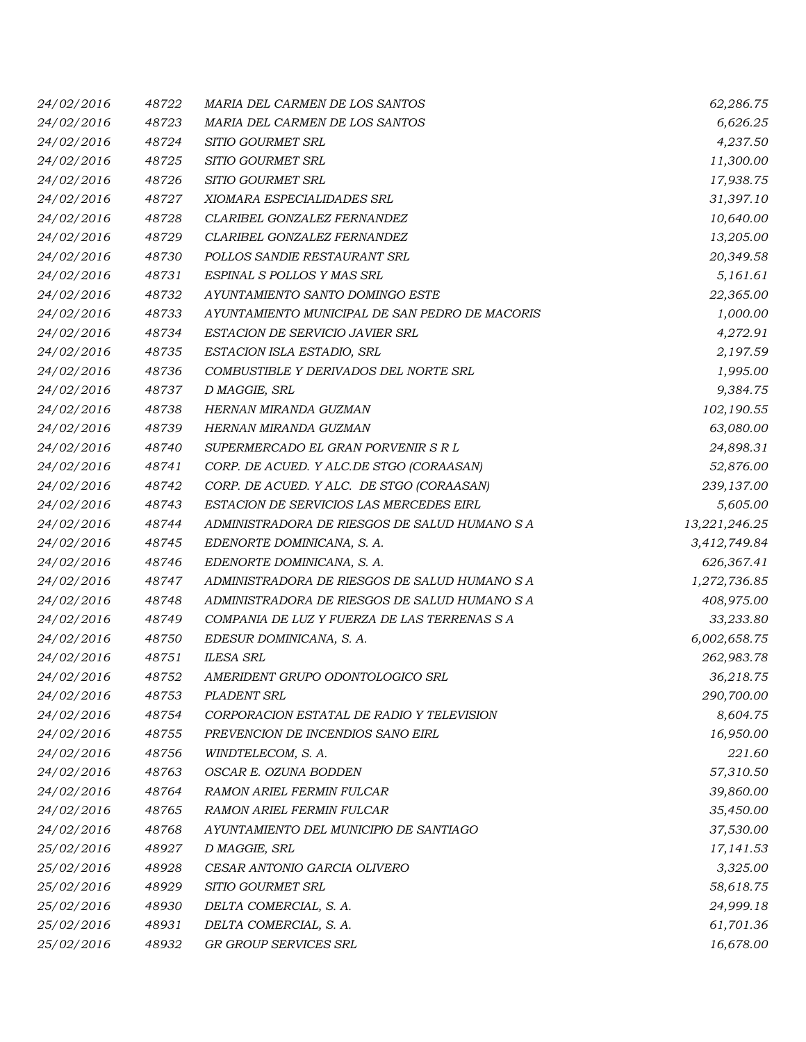| 24/02/2016 | 48722 | MARIA DEL CARMEN DE LOS SANTOS                 | 62,286.75     |
|------------|-------|------------------------------------------------|---------------|
| 24/02/2016 | 48723 | MARIA DEL CARMEN DE LOS SANTOS                 | 6,626.25      |
| 24/02/2016 | 48724 | SITIO GOURMET SRL                              | 4,237.50      |
| 24/02/2016 | 48725 | SITIO GOURMET SRL                              | 11,300.00     |
| 24/02/2016 | 48726 | SITIO GOURMET SRL                              | 17,938.75     |
| 24/02/2016 | 48727 | XIOMARA ESPECIALIDADES SRL                     | 31,397.10     |
| 24/02/2016 | 48728 | CLARIBEL GONZALEZ FERNANDEZ                    | 10,640.00     |
| 24/02/2016 | 48729 | CLARIBEL GONZALEZ FERNANDEZ                    | 13,205.00     |
| 24/02/2016 | 48730 | POLLOS SANDIE RESTAURANT SRL                   | 20,349.58     |
| 24/02/2016 | 48731 | ESPINAL S POLLOS Y MAS SRL                     | 5,161.61      |
| 24/02/2016 | 48732 | AYUNTAMIENTO SANTO DOMINGO ESTE                | 22,365.00     |
| 24/02/2016 | 48733 | AYUNTAMIENTO MUNICIPAL DE SAN PEDRO DE MACORIS | 1,000.00      |
| 24/02/2016 | 48734 | ESTACION DE SERVICIO JAVIER SRL                | 4,272.91      |
| 24/02/2016 | 48735 | ESTACION ISLA ESTADIO, SRL                     | 2,197.59      |
| 24/02/2016 | 48736 | COMBUSTIBLE Y DERIVADOS DEL NORTE SRL          | 1,995.00      |
| 24/02/2016 | 48737 | D MAGGIE, SRL                                  | 9,384.75      |
| 24/02/2016 | 48738 | HERNAN MIRANDA GUZMAN                          | 102,190.55    |
| 24/02/2016 | 48739 | HERNAN MIRANDA GUZMAN                          | 63,080.00     |
| 24/02/2016 | 48740 | SUPERMERCADO EL GRAN PORVENIR S R L            | 24,898.31     |
| 24/02/2016 | 48741 | CORP. DE ACUED. Y ALC.DE STGO (CORAASAN)       | 52,876.00     |
| 24/02/2016 | 48742 | CORP. DE ACUED. Y ALC. DE STGO (CORAASAN)      | 239,137.00    |
| 24/02/2016 | 48743 | ESTACION DE SERVICIOS LAS MERCEDES EIRL        | 5,605.00      |
| 24/02/2016 | 48744 | ADMINISTRADORA DE RIESGOS DE SALUD HUMANO S A  | 13,221,246.25 |
| 24/02/2016 | 48745 | EDENORTE DOMINICANA, S. A.                     | 3,412,749.84  |
| 24/02/2016 | 48746 | EDENORTE DOMINICANA, S. A.                     | 626,367.41    |
| 24/02/2016 | 48747 | ADMINISTRADORA DE RIESGOS DE SALUD HUMANO S A  | 1,272,736.85  |
| 24/02/2016 | 48748 | ADMINISTRADORA DE RIESGOS DE SALUD HUMANO S A  | 408,975.00    |
| 24/02/2016 | 48749 | COMPANIA DE LUZ Y FUERZA DE LAS TERRENAS S A   | 33,233.80     |
| 24/02/2016 | 48750 | EDESUR DOMINICANA, S. A.                       | 6,002,658.75  |
| 24/02/2016 | 48751 | <b>ILESA SRL</b>                               | 262,983.78    |
| 24/02/2016 | 48752 | AMERIDENT GRUPO ODONTOLOGICO SRL               | 36,218.75     |
| 24/02/2016 | 48753 | PLADENT SRL                                    | 290,700.00    |
| 24/02/2016 | 48754 | CORPORACION ESTATAL DE RADIO Y TELEVISION      | 8,604.75      |
| 24/02/2016 | 48755 | PREVENCION DE INCENDIOS SANO EIRL              | 16,950.00     |
| 24/02/2016 | 48756 | WINDTELECOM, S.A.                              | 221.60        |
| 24/02/2016 | 48763 | OSCAR E. OZUNA BODDEN                          | 57,310.50     |
| 24/02/2016 | 48764 | RAMON ARIEL FERMIN FULCAR                      | 39,860.00     |
| 24/02/2016 | 48765 | RAMON ARIEL FERMIN FULCAR                      | 35,450.00     |
| 24/02/2016 | 48768 | AYUNTAMIENTO DEL MUNICIPIO DE SANTIAGO         | 37,530.00     |
| 25/02/2016 | 48927 | D MAGGIE, SRL                                  | 17,141.53     |
| 25/02/2016 | 48928 | CESAR ANTONIO GARCIA OLIVERO                   | 3,325.00      |
| 25/02/2016 | 48929 | SITIO GOURMET SRL                              | 58,618.75     |
| 25/02/2016 | 48930 | DELTA COMERCIAL, S. A.                         | 24,999.18     |
| 25/02/2016 | 48931 | DELTA COMERCIAL, S. A.                         | 61,701.36     |
| 25/02/2016 | 48932 | GR GROUP SERVICES SRL                          | 16,678.00     |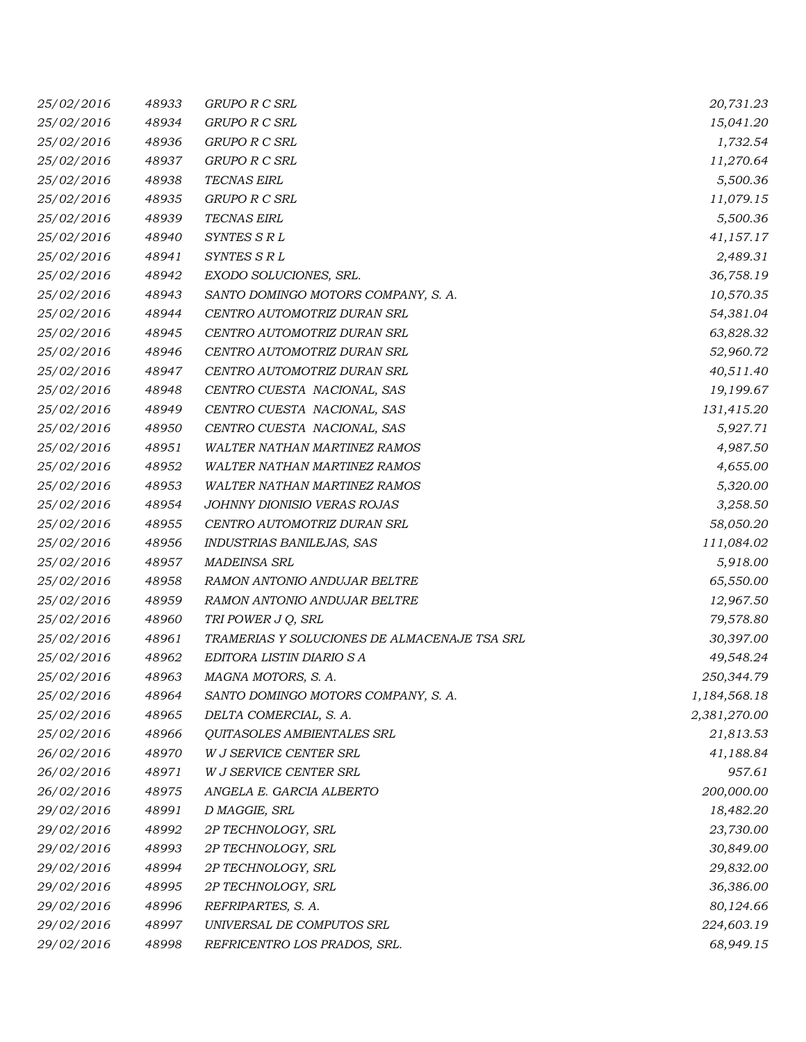| 25/02/2016 | 48933 | GRUPO R C SRL                                | 20,731.23    |
|------------|-------|----------------------------------------------|--------------|
| 25/02/2016 | 48934 | GRUPO R C SRL                                | 15,041.20    |
| 25/02/2016 | 48936 | GRUPO R C SRL                                | 1,732.54     |
| 25/02/2016 | 48937 | GRUPO R C SRL                                | 11,270.64    |
| 25/02/2016 | 48938 | <b>TECNAS EIRL</b>                           | 5,500.36     |
| 25/02/2016 | 48935 | GRUPO R C SRL                                | 11,079.15    |
| 25/02/2016 | 48939 | <b>TECNAS EIRL</b>                           | 5,500.36     |
| 25/02/2016 | 48940 | SYNTES S R L                                 | 41,157.17    |
| 25/02/2016 | 48941 | SYNTES S R L                                 | 2,489.31     |
| 25/02/2016 | 48942 | EXODO SOLUCIONES, SRL.                       | 36,758.19    |
| 25/02/2016 | 48943 | SANTO DOMINGO MOTORS COMPANY, S. A.          | 10,570.35    |
| 25/02/2016 | 48944 | CENTRO AUTOMOTRIZ DURAN SRL                  | 54,381.04    |
| 25/02/2016 | 48945 | CENTRO AUTOMOTRIZ DURAN SRL                  | 63,828.32    |
| 25/02/2016 | 48946 | CENTRO AUTOMOTRIZ DURAN SRL                  | 52,960.72    |
| 25/02/2016 | 48947 | CENTRO AUTOMOTRIZ DURAN SRL                  | 40,511.40    |
| 25/02/2016 | 48948 | CENTRO CUESTA NACIONAL, SAS                  | 19,199.67    |
| 25/02/2016 | 48949 | CENTRO CUESTA NACIONAL, SAS                  | 131,415.20   |
| 25/02/2016 | 48950 | CENTRO CUESTA NACIONAL, SAS                  | 5,927.71     |
| 25/02/2016 | 48951 | <b>WALTER NATHAN MARTINEZ RAMOS</b>          | 4,987.50     |
| 25/02/2016 | 48952 | WALTER NATHAN MARTINEZ RAMOS                 | 4,655.00     |
| 25/02/2016 | 48953 | WALTER NATHAN MARTINEZ RAMOS                 | 5,320.00     |
| 25/02/2016 | 48954 | JOHNNY DIONISIO VERAS ROJAS                  | 3,258.50     |
| 25/02/2016 | 48955 | CENTRO AUTOMOTRIZ DURAN SRL                  | 58,050.20    |
| 25/02/2016 | 48956 | INDUSTRIAS BANILEJAS, SAS                    | 111,084.02   |
| 25/02/2016 | 48957 | <b>MADEINSA SRL</b>                          | 5,918.00     |
| 25/02/2016 | 48958 | RAMON ANTONIO ANDUJAR BELTRE                 | 65,550.00    |
| 25/02/2016 | 48959 | RAMON ANTONIO ANDUJAR BELTRE                 | 12,967.50    |
| 25/02/2016 | 48960 | TRI POWER J Q, SRL                           | 79,578.80    |
| 25/02/2016 | 48961 | TRAMERIAS Y SOLUCIONES DE ALMACENAJE TSA SRL | 30,397.00    |
| 25/02/2016 | 48962 | EDITORA LISTIN DIARIO S A                    | 49,548.24    |
| 25/02/2016 | 48963 | MAGNA MOTORS, S. A.                          | 250,344.79   |
| 25/02/2016 | 48964 | SANTO DOMINGO MOTORS COMPANY, S. A.          | 1,184,568.18 |
| 25/02/2016 | 48965 | DELTA COMERCIAL, S. A.                       | 2,381,270.00 |
| 25/02/2016 | 48966 | QUITASOLES AMBIENTALES SRL                   | 21,813.53    |
| 26/02/2016 | 48970 | <b>W J SERVICE CENTER SRL</b>                | 41,188.84    |
| 26/02/2016 | 48971 | W J SERVICE CENTER SRL                       | 957.61       |
| 26/02/2016 | 48975 | ANGELA E. GARCIA ALBERTO                     | 200,000.00   |
| 29/02/2016 | 48991 | D MAGGIE, SRL                                | 18,482.20    |
| 29/02/2016 | 48992 | 2P TECHNOLOGY, SRL                           | 23,730.00    |
| 29/02/2016 | 48993 | 2P TECHNOLOGY, SRL                           | 30,849.00    |
| 29/02/2016 | 48994 | 2P TECHNOLOGY, SRL                           | 29,832.00    |
| 29/02/2016 | 48995 | 2P TECHNOLOGY, SRL                           | 36,386.00    |
| 29/02/2016 | 48996 | REFRIPARTES, S. A.                           | 80,124.66    |
| 29/02/2016 | 48997 | UNIVERSAL DE COMPUTOS SRL                    | 224,603.19   |
| 29/02/2016 | 48998 | REFRICENTRO LOS PRADOS, SRL.                 | 68,949.15    |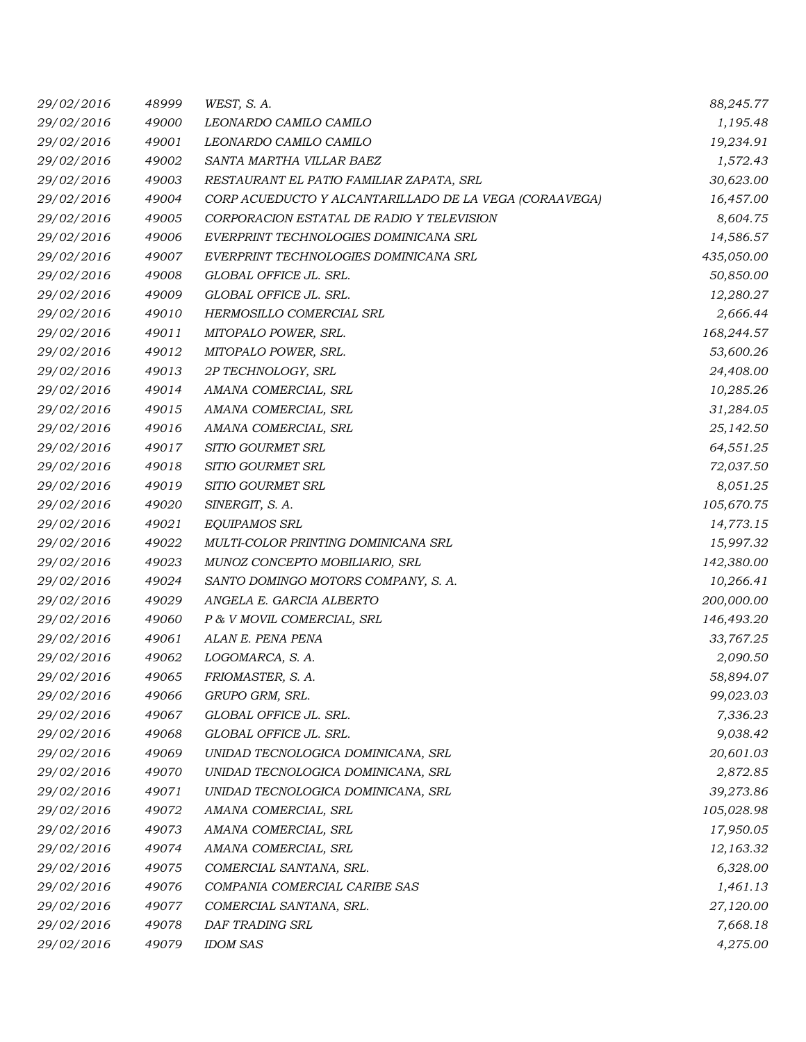| 29/02/2016 | 48999 | WEST, S.A.                                             | 88,245.77  |
|------------|-------|--------------------------------------------------------|------------|
| 29/02/2016 | 49000 | LEONARDO CAMILO CAMILO                                 | 1,195.48   |
| 29/02/2016 | 49001 | LEONARDO CAMILO CAMILO                                 | 19,234.91  |
| 29/02/2016 | 49002 | SANTA MARTHA VILLAR BAEZ                               | 1,572.43   |
| 29/02/2016 | 49003 | RESTAURANT EL PATIO FAMILIAR ZAPATA, SRL               | 30,623.00  |
| 29/02/2016 | 49004 | CORP ACUEDUCTO Y ALCANTARILLADO DE LA VEGA (CORAAVEGA) | 16,457.00  |
| 29/02/2016 | 49005 | CORPORACION ESTATAL DE RADIO Y TELEVISION              | 8,604.75   |
| 29/02/2016 | 49006 | EVERPRINT TECHNOLOGIES DOMINICANA SRL                  | 14,586.57  |
| 29/02/2016 | 49007 | EVERPRINT TECHNOLOGIES DOMINICANA SRL                  | 435,050.00 |
| 29/02/2016 | 49008 | GLOBAL OFFICE JL. SRL.                                 | 50,850.00  |
| 29/02/2016 | 49009 | GLOBAL OFFICE JL. SRL.                                 | 12,280.27  |
| 29/02/2016 | 49010 | HERMOSILLO COMERCIAL SRL                               | 2,666.44   |
| 29/02/2016 | 49011 | MITOPALO POWER, SRL.                                   | 168,244.57 |
| 29/02/2016 | 49012 | MITOPALO POWER, SRL.                                   | 53,600.26  |
| 29/02/2016 | 49013 | 2P TECHNOLOGY, SRL                                     | 24,408.00  |
| 29/02/2016 | 49014 | AMANA COMERCIAL, SRL                                   | 10,285.26  |
| 29/02/2016 | 49015 | AMANA COMERCIAL, SRL                                   | 31,284.05  |
| 29/02/2016 | 49016 | AMANA COMERCIAL, SRL                                   | 25,142.50  |
| 29/02/2016 | 49017 | SITIO GOURMET SRL                                      | 64,551.25  |
| 29/02/2016 | 49018 | SITIO GOURMET SRL                                      | 72,037.50  |
| 29/02/2016 | 49019 | SITIO GOURMET SRL                                      | 8,051.25   |
| 29/02/2016 | 49020 | SINERGIT, S. A.                                        | 105,670.75 |
| 29/02/2016 | 49021 | EQUIPAMOS SRL                                          | 14,773.15  |
| 29/02/2016 | 49022 | MULTI-COLOR PRINTING DOMINICANA SRL                    | 15,997.32  |
| 29/02/2016 | 49023 | MUNOZ CONCEPTO MOBILIARIO, SRL                         | 142,380.00 |
| 29/02/2016 | 49024 | SANTO DOMINGO MOTORS COMPANY, S. A.                    | 10,266.41  |
| 29/02/2016 | 49029 | ANGELA E. GARCIA ALBERTO                               | 200,000.00 |
| 29/02/2016 | 49060 | P & V MOVIL COMERCIAL, SRL                             | 146,493.20 |
| 29/02/2016 | 49061 | ALAN E. PENA PENA                                      | 33,767.25  |
| 29/02/2016 | 49062 | LOGOMARCA, S. A.                                       | 2,090.50   |
| 29/02/2016 | 49065 | FRIOMASTER, S. A.                                      | 58,894.07  |
| 29/02/2016 | 49066 | GRUPO GRM, SRL.                                        | 99,023.03  |
| 29/02/2016 | 49067 | GLOBAL OFFICE JL. SRL.                                 | 7,336.23   |
| 29/02/2016 | 49068 | GLOBAL OFFICE JL. SRL.                                 | 9,038.42   |
| 29/02/2016 | 49069 | UNIDAD TECNOLOGICA DOMINICANA, SRL                     | 20,601.03  |
| 29/02/2016 | 49070 | UNIDAD TECNOLOGICA DOMINICANA, SRL                     | 2,872.85   |
| 29/02/2016 | 49071 | UNIDAD TECNOLOGICA DOMINICANA, SRL                     | 39,273.86  |
| 29/02/2016 | 49072 | AMANA COMERCIAL, SRL                                   | 105,028.98 |
| 29/02/2016 | 49073 | AMANA COMERCIAL, SRL                                   | 17,950.05  |
| 29/02/2016 | 49074 | AMANA COMERCIAL, SRL                                   | 12,163.32  |
| 29/02/2016 | 49075 | COMERCIAL SANTANA, SRL.                                | 6,328.00   |
| 29/02/2016 | 49076 | COMPANIA COMERCIAL CARIBE SAS                          | 1,461.13   |
| 29/02/2016 | 49077 | COMERCIAL SANTANA, SRL.                                | 27,120.00  |
| 29/02/2016 | 49078 | DAF TRADING SRL                                        | 7,668.18   |
| 29/02/2016 | 49079 | <b>IDOM SAS</b>                                        | 4,275.00   |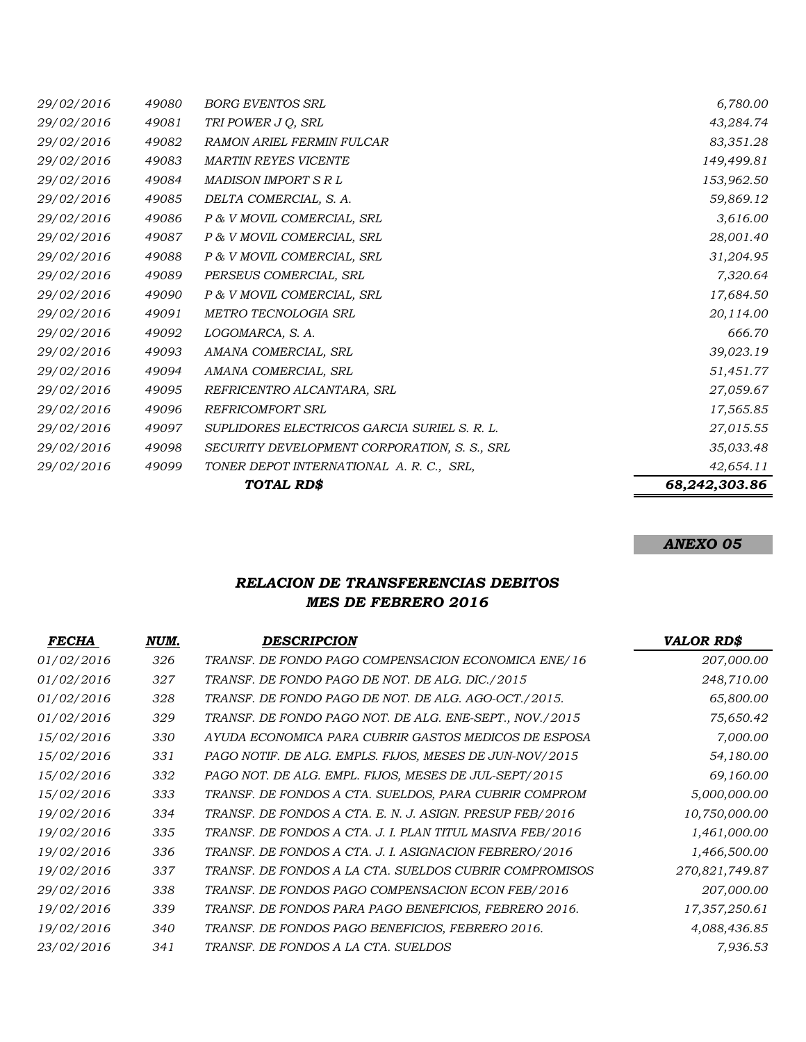|            |       | TOTAL RD\$                                   | 68,242,303.86 |
|------------|-------|----------------------------------------------|---------------|
| 29/02/2016 | 49099 | TONER DEPOT INTERNATIONAL A.R.C., SRL,       | 42,654.11     |
| 29/02/2016 | 49098 | SECURITY DEVELOPMENT CORPORATION, S. S., SRL | 35,033.48     |
| 29/02/2016 | 49097 | SUPLIDORES ELECTRICOS GARCIA SURIEL S. R. L. | 27,015.55     |
| 29/02/2016 | 49096 | REFRICOMFORT SRL                             | 17,565.85     |
| 29/02/2016 | 49095 | REFRICENTRO ALCANTARA, SRL                   | 27,059.67     |
| 29/02/2016 | 49094 | AMANA COMERCIAL, SRL                         | 51,451.77     |
| 29/02/2016 | 49093 | AMANA COMERCIAL, SRL                         | 39,023.19     |
| 29/02/2016 | 49092 | LOGOMARCA, S. A.                             | 666.70        |
| 29/02/2016 | 49091 | METRO TECNOLOGIA SRL                         | 20,114.00     |
| 29/02/2016 | 49090 | P & V MOVIL COMERCIAL, SRL                   | 17,684.50     |
| 29/02/2016 | 49089 | PERSEUS COMERCIAL, SRL                       | 7,320.64      |
| 29/02/2016 | 49088 | P & V MOVIL COMERCIAL, SRL                   | 31,204.95     |
| 29/02/2016 | 49087 | P & V MOVIL COMERCIAL, SRL                   | 28,001.40     |
| 29/02/2016 | 49086 | P & V MOVIL COMERCIAL, SRL                   | 3,616.00      |
| 29/02/2016 | 49085 | DELTA COMERCIAL, S. A.                       | 59,869.12     |
| 29/02/2016 | 49084 | MADISON IMPORT S R L                         | 153,962.50    |
| 29/02/2016 | 49083 | <b>MARTIN REYES VICENTE</b>                  | 149,499.81    |
| 29/02/2016 | 49082 | <b>RAMON ARIEL FERMIN FULCAR</b>             | 83,351.28     |
| 29/02/2016 | 49081 | TRI POWER J Q, SRL                           | 43,284.74     |
| 29/02/2016 | 49080 | <b>BORG EVENTOS SRL</b>                      | 6,780.00      |

#### *ANEXO 05*

## *RELACION DE TRANSFERENCIAS DEBITOS MES DE FEBRERO 2016*

| <b>FECHA</b> | NUM. | DESCRIPCION                                               | <b>VALOR RD\$</b> |
|--------------|------|-----------------------------------------------------------|-------------------|
| 01/02/2016   | 326  | TRANSF. DE FONDO PAGO COMPENSACION ECONOMICA ENE/16       | 207,000.00        |
| 01/02/2016   | 327  | TRANSF. DE FONDO PAGO DE NOT. DE ALG. DIC./2015           | 248,710.00        |
| 01/02/2016   | 328  | TRANSF. DE FONDO PAGO DE NOT. DE ALG. AGO-OCT./2015.      | 65,800.00         |
| 01/02/2016   | 329  | TRANSF. DE FONDO PAGO NOT. DE ALG. ENE-SEPT., NOV./2015   | 75,650.42         |
| 15/02/2016   | 330  | AYUDA ECONOMICA PARA CUBRIR GASTOS MEDICOS DE ESPOSA      | 7,000.00          |
| 15/02/2016   | 331  | PAGO NOTIF. DE ALG. EMPLS. FIJOS, MESES DE JUN-NOV/2015   | 54,180.00         |
| 15/02/2016   | 332  | PAGO NOT. DE ALG. EMPL. FIJOS, MESES DE JUL-SEPT/2015     | 69,160.00         |
| 15/02/2016   | 333  | TRANSF. DE FONDOS A CTA. SUELDOS, PARA CUBRIR COMPROM     | 5,000,000.00      |
| 19/02/2016   | 334  | TRANSF. DE FONDOS A CTA. E. N. J. ASIGN. PRESUP FEB/2016  | 10,750,000.00     |
| 19/02/2016   | 335  | TRANSF. DE FONDOS A CTA. J. I. PLAN TITUL MASIVA FEB/2016 | 1,461,000.00      |
| 19/02/2016   | 336  | TRANSF. DE FONDOS A CTA. J. I. ASIGNACION FEBRERO/2016    | 1,466,500.00      |
| 19/02/2016   | 337  | TRANSF. DE FONDOS A LA CTA. SUELDOS CUBRIR COMPROMISOS    | 270,821,749.87    |
| 29/02/2016   | 338  | TRANSF. DE FONDOS PAGO COMPENSACION ECON FEB/2016         | 207,000.00        |
| 19/02/2016   | 339  | TRANSF. DE FONDOS PARA PAGO BENEFICIOS, FEBRERO 2016.     | 17,357,250.61     |
| 19/02/2016   | 340  | TRANSF. DE FONDOS PAGO BENEFICIOS, FEBRERO 2016.          | 4,088,436.85      |
| 23/02/2016   | 341  | TRANSF. DE FONDOS A LA CTA. SUELDOS                       | 7,936.53          |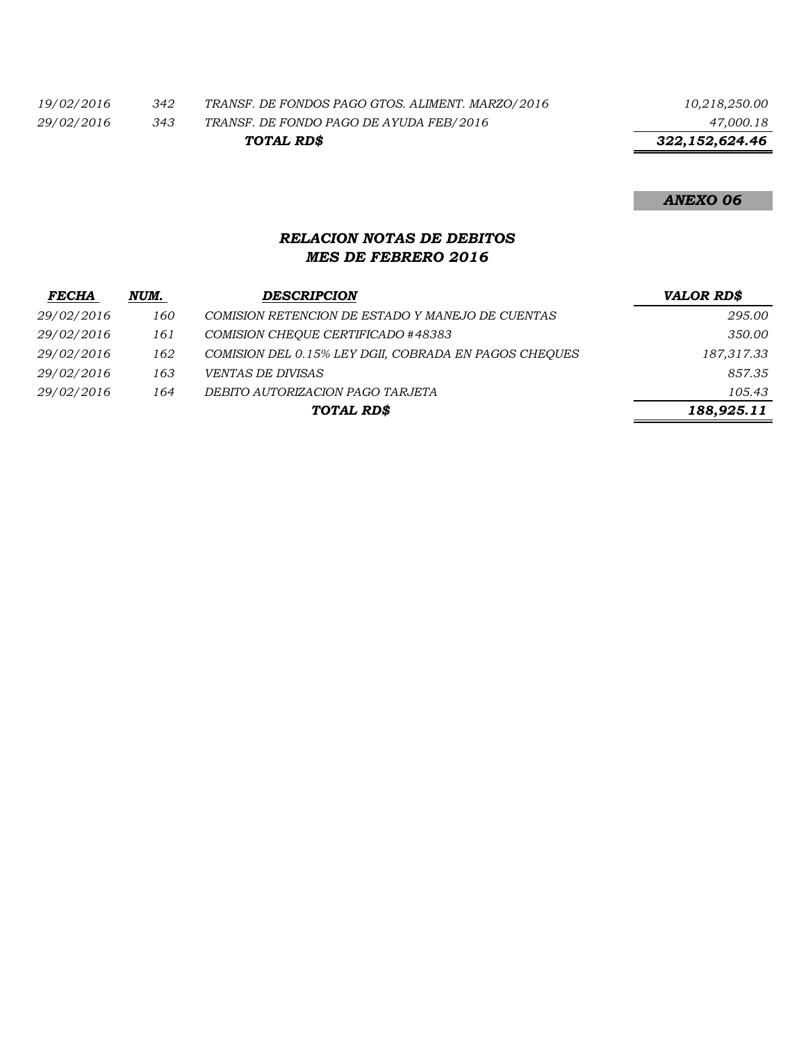*19/02/2016 342 TRANSF. DE FONDOS PAGO GTOS. ALIMENT. MARZO/2016 10,218,250.00*

*29/02/2016 343 TRANSF. DE FONDO PAGO DE AYUDA FEB/2016 47,000.18 TOTAL RD\$*

 *322,152,624.46*

*ANEXO 06*

## *RELACION NOTAS DE DEBITOS MES DE FEBRERO 2016*

| <b>FECHA</b> | NUM. | <b>DESCRIPCION</b>                                    | <b>VALOR RD\$</b> |
|--------------|------|-------------------------------------------------------|-------------------|
| 29/02/2016   | 160  | COMISION RETENCION DE ESTADO Y MANEJO DE CUENTAS      | 295.00            |
| 29/02/2016   | 161  | COMISION CHEOUE CERTIFICADO #48383                    | 350.00            |
| 29/02/2016   | 162  | COMISION DEL 0.15% LEY DGII, COBRADA EN PAGOS CHEOUES | 187,317.33        |
| 29/02/2016   | 163  | <i>VENTAS DE DIVISAS</i>                              | 857.35            |
| 29/02/2016   | 164  | DEBITO AUTORIZACION PAGO TARJETA                      | 105.43            |
|              |      | TOTAL RD\$                                            | 188,925.11        |